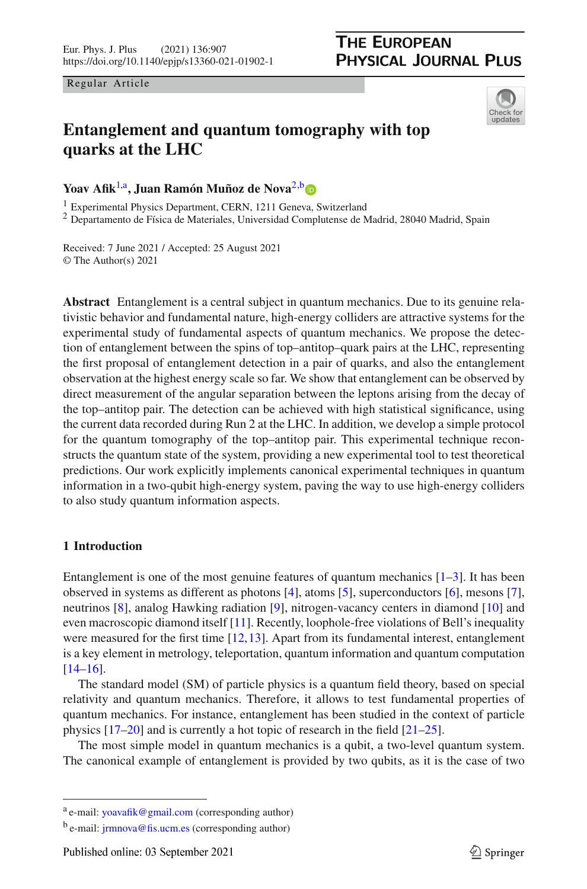Regular Article

# <span id="page-0-0"></span>Check for updates

# **Entanglement and quantum tomography with top quarks at the LHC**

Yoav Afik<sup>[1,](#page-0-0)a</sup>, Juan Ramón Muñoz de Nova<sup>[2,](#page-0-0)[b](http://orcid.org/0000-0001-6229-9640)</sup>

<sup>1</sup> Experimental Physics Department, CERN, 1211 Geneva, Switzerland

<sup>2</sup> Departamento de Física de Materiales, Universidad Complutense de Madrid, 28040 Madrid, Spain

Received: 7 June 2021 / Accepted: 25 August 2021 © The Author(s) 2021

**Abstract** Entanglement is a central subject in quantum mechanics. Due to its genuine relativistic behavior and fundamental nature, high-energy colliders are attractive systems for the experimental study of fundamental aspects of quantum mechanics. We propose the detection of entanglement between the spins of top–antitop–quark pairs at the LHC, representing the first proposal of entanglement detection in a pair of quarks, and also the entanglement observation at the highest energy scale so far. We show that entanglement can be observed by direct measurement of the angular separation between the leptons arising from the decay of the top–antitop pair. The detection can be achieved with high statistical significance, using the current data recorded during Run 2 at the LHC. In addition, we develop a simple protocol for the quantum tomography of the top–antitop pair. This experimental technique reconstructs the quantum state of the system, providing a new experimental tool to test theoretical predictions. Our work explicitly implements canonical experimental techniques in quantum information in a two-qubit high-energy system, paving the way to use high-energy colliders to also study quantum information aspects.

### <span id="page-0-1"></span>**1 Introduction**

Entanglement is one of the most genuine features of quantum mechanics  $[1-3]$  $[1-3]$ . It has been observed in systems as different as photons [\[4\]](#page-20-2), atoms [\[5](#page-20-3)], superconductors [\[6](#page-20-4)], mesons [\[7\]](#page-20-5), neutrinos [\[8\]](#page-20-6), analog Hawking radiation [\[9](#page-20-7)], nitrogen-vacancy centers in diamond [\[10\]](#page-20-8) and even macroscopic diamond itself [\[11\]](#page-20-9). Recently, loophole-free violations of Bell's inequality were measured for the first time [\[12](#page-20-10)[,13\]](#page-20-11). Apart from its fundamental interest, entanglement is a key element in metrology, teleportation, quantum information and quantum computation [\[14](#page-20-12)[–16](#page-20-13)].

The standard model (SM) of particle physics is a quantum field theory, based on special relativity and quantum mechanics. Therefore, it allows to test fundamental properties of quantum mechanics. For instance, entanglement has been studied in the context of particle physics [\[17](#page-20-14)[–20\]](#page-21-0) and is currently a hot topic of research in the field [\[21](#page-21-1)[–25\]](#page-21-2).

The most simple model in quantum mechanics is a qubit, a two-level quantum system. The canonical example of entanglement is provided by two qubits, as it is the case of two

<sup>a</sup> e-mail: [yoavafik@gmail.com](mailto:yoavafik@gmail.com) (corresponding author)

b e-mail: [jrmnova@fis.ucm.es](mailto:jrmnova@fis.ucm.es) (corresponding author)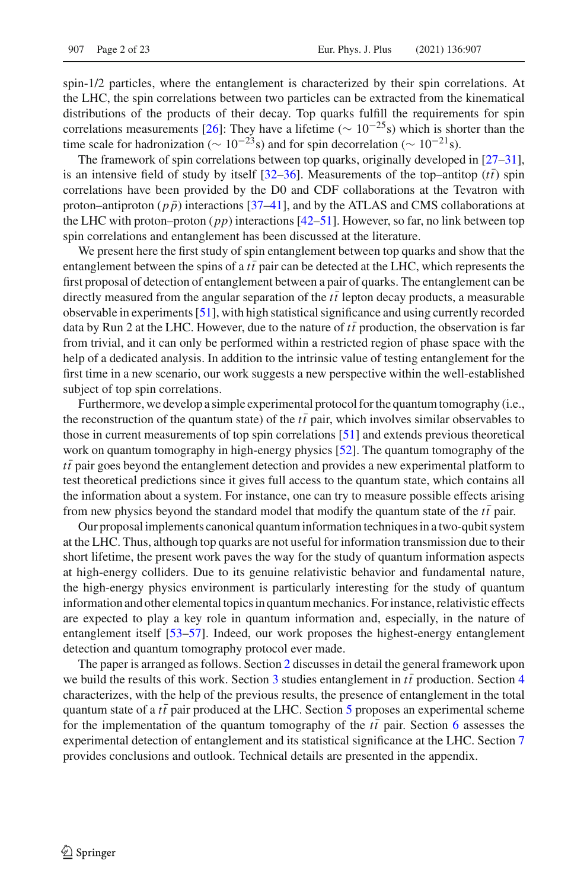spin-1/2 particles, where the entanglement is characterized by their spin correlations. At the LHC, the spin correlations between two particles can be extracted from the kinematical distributions of the products of their decay. Top quarks fulfill the requirements for spin correlations measurements [\[26\]](#page-21-3): They have a lifetime ( $\sim 10^{-25}$ s) which is shorter than the time scale for hadronization ( $\sim 10^{-23}$ s) and for spin decorrelation ( $\sim 10^{-21}$ s).

The framework of spin correlations between top quarks, originally developed in [\[27](#page-21-4)[–31\]](#page-21-5), is an intensive field of study by itself  $[32-36]$  $[32-36]$ . Measurements of the top–antitop  $(tt)$  spin correlations have been provided by the D0 and CDF collaborations at the Tevatron with proton–antiproton ( $p\bar{p}$ ) interactions [\[37](#page-21-8)[–41\]](#page-21-9), and by the ATLAS and CMS collaborations at the LHC with proton–proton (*pp*) interactions [\[42](#page-21-10)[–51](#page-22-0)]. However, so far, no link between top spin correlations and entanglement has been discussed at the literature.

We present here the first study of spin entanglement between top quarks and show that the entanglement between the spins of a  $t\bar{t}$  pair can be detected at the LHC, which represents the first proposal of detection of entanglement between a pair of quarks. The entanglement can be directly measured from the angular separation of the  $t\bar{t}$  lepton decay products, a measurable observable in experiments [\[51\]](#page-22-0), with high statistical significance and using currently recorded data by Run 2 at the LHC. However, due to the nature of  $t\bar{t}$  production, the observation is far from trivial, and it can only be performed within a restricted region of phase space with the help of a dedicated analysis. In addition to the intrinsic value of testing entanglement for the first time in a new scenario, our work suggests a new perspective within the well-established subject of top spin correlations.

Furthermore, we develop a simple experimental protocol for the quantum tomography (i.e., the reconstruction of the quantum state) of the  $t\bar{t}$  pair, which involves similar observables to those in current measurements of top spin correlations [\[51](#page-22-0)] and extends previous theoretical work on quantum tomography in high-energy physics [\[52\]](#page-22-1). The quantum tomography of the  $t\bar{t}$  pair goes beyond the entanglement detection and provides a new experimental platform to test theoretical predictions since it gives full access to the quantum state, which contains all the information about a system. For instance, one can try to measure possible effects arising from new physics beyond the standard model that modify the quantum state of the  $t\bar{t}$  pair.

Our proposal implements canonical quantum information techniques in a two-qubit system at the LHC. Thus, although top quarks are not useful for information transmission due to their short lifetime, the present work paves the way for the study of quantum information aspects at high-energy colliders. Due to its genuine relativistic behavior and fundamental nature, the high-energy physics environment is particularly interesting for the study of quantum information and other elemental topics in quantum mechanics. For instance, relativistic effects are expected to play a key role in quantum information and, especially, in the nature of entanglement itself [\[53](#page-22-2)[–57\]](#page-22-3). Indeed, our work proposes the highest-energy entanglement detection and quantum tomography protocol ever made.

The paper is arranged as follows. Section [2](#page-2-0) discusses in detail the general framework upon we build the results of this work. Section  $\frac{3}{3}$  $\frac{3}{3}$  $\frac{3}{3}$  studies entanglement in  $t\bar{t}$  production. Section  $\frac{4}{3}$  $\frac{4}{3}$  $\frac{4}{3}$ characterizes, with the help of the previous results, the presence of entanglement in the total quantum state of a  $t\bar{t}$  pair produced at the LHC. Section  $5$  proposes an experimental scheme for the implementation of the quantum tomography of the  $t\bar{t}$  pair. Section [6](#page-11-0) assesses the experimental detection of entanglement and its statistical significance at the LHC. Section [7](#page-13-0) provides conclusions and outlook. Technical details are presented in the appendix.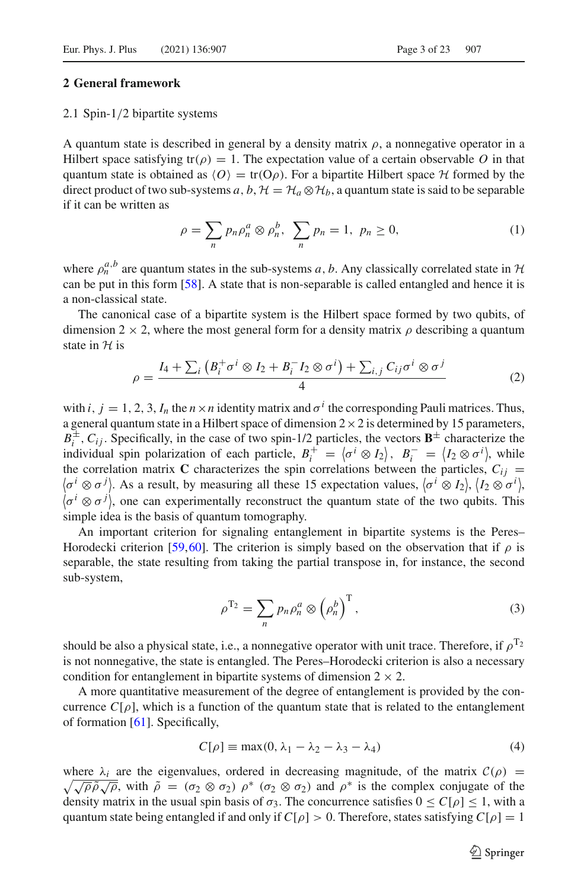#### <span id="page-2-2"></span><span id="page-2-0"></span>**2 General framework**

#### 2.1 Spin-1/2 bipartite systems

A quantum state is described in general by a density matrix  $\rho$ , a nonnegative operator in a Hilbert space satisfying  $tr(\rho) = 1$ . The expectation value of a certain observable O in that quantum state is obtained as  $\langle O \rangle = \text{tr}(O \rho)$ . For a bipartite Hilbert space  $H$  formed by the direct product of two sub-systems *a*, *b*,  $\mathcal{H} = \mathcal{H}_a \otimes \mathcal{H}_b$ , a quantum state is said to be separable if it can be written as

$$
\rho = \sum_{n} p_n \rho_n^a \otimes \rho_n^b, \sum_{n} p_n = 1, p_n \ge 0,
$$
\n(1)

where  $\rho_n^{a,b}$  are quantum states in the sub-systems *a*, *b*. Any classically correlated state in  $H$ can be put in this form [\[58\]](#page-22-4). A state that is non-separable is called entangled and hence it is a non-classical state.

The canonical case of a bipartite system is the Hilbert space formed by two qubits, of dimension 2  $\times$  2, where the most general form for a density matrix  $\rho$  describing a quantum state in *H* is

<span id="page-2-1"></span>
$$
\rho = \frac{I_4 + \sum_i \left( B_i^+ \sigma^i \otimes I_2 + B_i^- I_2 \otimes \sigma^i \right) + \sum_{i,j} C_{ij} \sigma^i \otimes \sigma^j}{4} \tag{2}
$$

with *i*,  $j = 1, 2, 3, I_n$  the  $n \times n$  identity matrix and  $\sigma^i$  the corresponding Pauli matrices. Thus, a general quantum state in a Hilbert space of dimension  $2 \times 2$  is determined by 15 parameters,  $B_i^{\pm}$ ,  $C_{ij}$ . Specifically, in the case of two spin-1/2 particles, the vectors  $\mathbf{B}^{\pm}$  characterize the individual spin polarization of each particle,  $B_i^+ = \langle \sigma^i \otimes I_2 \rangle$ ,  $B_i^- = \langle I_2 \otimes \sigma^i \rangle$ , while the correlation matrix **C** characterizes the spin correlations between the particles,  $C_{ij} = \langle \sigma^i \otimes \sigma^j \rangle$ . As a result, by measuring all these 15 expectation values,  $\langle \sigma^i \otimes I_2 \rangle$ ,  $\langle I_2 \otimes \sigma^i \rangle$ ,  $\langle \sigma^i \otimes \sigma^j \rangle$ , one can experimentally reconstruct the quantum state of the two qubits. This simple idea is the basis of quantum tomography.

An important criterion for signaling entanglement in bipartite systems is the Peres– Horodecki criterion [\[59](#page-22-5)[,60\]](#page-22-6). The criterion is simply based on the observation that if  $\rho$  is separable, the state resulting from taking the partial transpose in, for instance, the second sub-system,

$$
\rho^{T_2} = \sum_n p_n \rho_n^a \otimes \left(\rho_n^b\right)^T,\tag{3}
$$

should be also a physical state, i.e., a nonnegative operator with unit trace. Therefore, if  $\rho^{T_2}$ is not nonnegative, the state is entangled. The Peres–Horodecki criterion is also a necessary condition for entanglement in bipartite systems of dimension  $2 \times 2$ .

A more quantitative measurement of the degree of entanglement is provided by the concurrence  $C[\rho]$ , which is a function of the quantum state that is related to the entanglement of formation [\[61\]](#page-22-7). Specifically,

<span id="page-2-3"></span>
$$
C[\rho] \equiv \max(0, \lambda_1 - \lambda_2 - \lambda_3 - \lambda_4) \tag{4}
$$

where  $\lambda_i$  are the eigenvalues, ordered in decreasing magnitude, of the matrix  $\mathcal{C}(\rho)$  =  $\sqrt{}$ here  $\lambda_i$  are the eigenvalues, ordered in decreasing magnitude, of the matrix  $C(\rho) = \sqrt{\rho} \tilde{\rho} \sqrt{\rho}$ , with  $\tilde{\rho} = (\sigma_2 \otimes \sigma_2) \rho^* (\sigma_2 \otimes \sigma_2)$  and  $\rho^*$  is the complex conjugate of the density matrix in the usual spin basis of  $\sigma_3$ . The concurrence satisfies  $0 \le C[\rho] \le 1$ , with a quantum state being entangled if and only if  $C[\rho] > 0$ . Therefore, states satisfying  $C[\rho] = 1$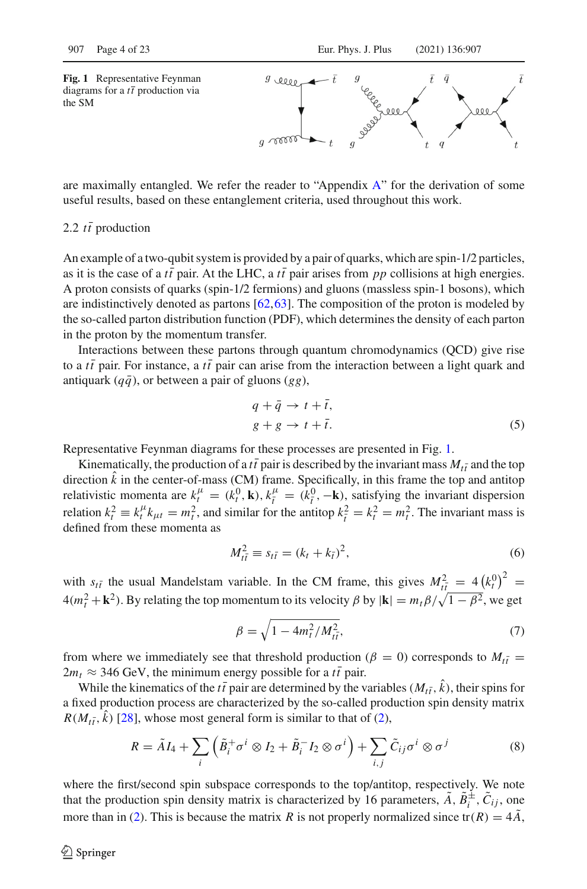<span id="page-3-0"></span>**Fig. 1** Representative Feynman diagrams for a  $t\bar{t}$  production via the SM



are maximally entangled. We refer the reader to "Appendix  $A$ " for the derivation of some useful results, based on these entanglement criteria, used throughout this work.

## 2.2  $t\bar{t}$  production

An example of a two-qubit system is provided by a pair of quarks, which are spin-1/2 particles, as it is the case of a  $t\bar{t}$  pair. At the LHC, a  $t\bar{t}$  pair arises from  $pp$  collisions at high energies. A proton consists of quarks (spin-1/2 fermions) and gluons (massless spin-1 bosons), which are indistinctively denoted as partons [\[62](#page-22-8),[63\]](#page-22-9). The composition of the proton is modeled by the so-called parton distribution function (PDF), which determines the density of each parton in the proton by the momentum transfer.

Interactions between these partons through quantum chromodynamics (QCD) give rise to a  $t\bar{t}$  pair. For instance, a  $t\bar{t}$  pair can arise from the interaction between a light quark and antiquark  $(q\bar{q})$ , or between a pair of gluons (*gg*),

<span id="page-3-1"></span>
$$
q + \bar{q} \to t + \bar{t},
$$
  
\n
$$
g + g \to t + \bar{t}.
$$
\n(5)

Representative Feynman diagrams for these processes are presented in Fig. [1.](#page-3-0)

Kinematically, the production of a  $t\bar{t}$  pair is described by the invariant mass  $M_{t\bar{t}}$  and the top direction  $\hat{k}$  in the center-of-mass (CM) frame. Specifically, in this frame the top and antitop relativistic momenta are  $k_t^{\mu} = (k_t^0, \mathbf{k}), k_{\bar{t}}^{\mu}$  $t_i^{\mu} = (k_i^0, -\mathbf{k})$ , satisfying the invariant dispersion relation  $k_t^2 \equiv k_t^{\mu} k_{\mu t} = m_t^2$ , and similar for the antitop  $k_t^2 = k_t^2 = m_t^2$ . The invariant mass is defined from these momenta as

$$
M_{t\bar{t}}^2 \equiv s_{t\bar{t}} = (k_t + k_{\bar{t}})^2,\tag{6}
$$

with  $s_{t\bar{t}}$  the usual Mandelstam variable. In the CM frame, this gives  $M_{t\bar{t}}^2 = 4(k_t^0)^2$  =  $4(m_t^2 + \mathbf{k}^2)$ . By relating the top momentum to its velocity  $\beta$  by  $|\mathbf{k}| = m_t \beta / \sqrt{1 - \beta^2}$ , we get

$$
\beta = \sqrt{1 - 4m_t^2/M_{t\bar{t}}^2},\tag{7}
$$

from where we immediately see that threshold production ( $\beta = 0$ ) corresponds to  $M_{t\bar{t}} =$  $2m_t \approx 346 \text{ GeV}$ , the minimum energy possible for a  $t\bar{t}$  pair.

While the kinematics of the  $t\bar{t}$  pair are determined by the variables ( $M_{t\bar{t}}$ , *k*), their spins for a fixed production process are characterized by the so-called production spin density matrix  $R(M_{t\bar{t}}, \bar{k})$  [\[28](#page-21-11)], whose most general form is similar to that of [\(2\)](#page-2-1),

$$
R = \tilde{A}I_4 + \sum_{i} \left( \tilde{B}_i^+ \sigma^i \otimes I_2 + \tilde{B}_i^- I_2 \otimes \sigma^i \right) + \sum_{i,j} \tilde{C}_{ij} \sigma^i \otimes \sigma^j \tag{8}
$$

where the first/second spin subspace corresponds to the top/antitop, respectively. We note that the production spin density matrix is characterized by 16 parameters,  $A, B_i^{\pm}, C_{ij}$ , one more than in [\(2\)](#page-2-1). This is because the matrix *R* is not properly normalized since  $tr(R) = 4\tilde{A}$ ,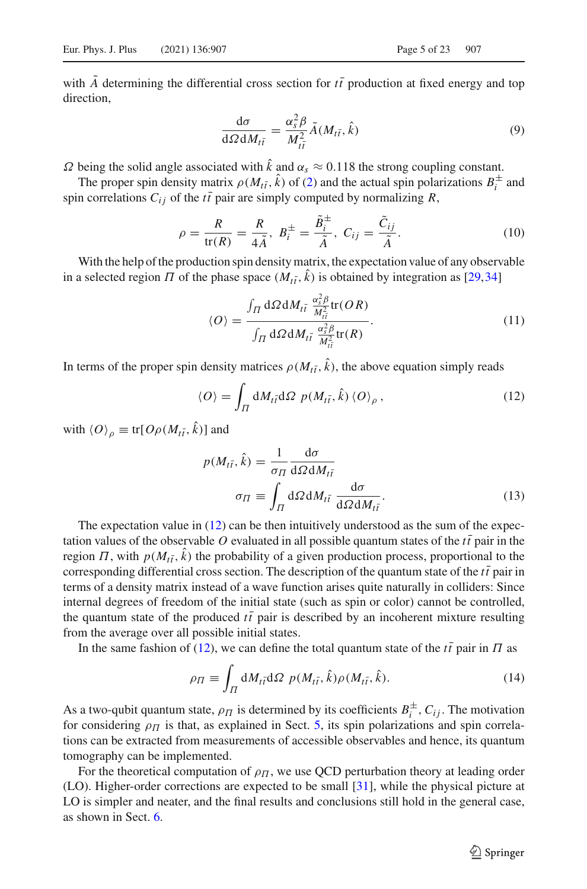with *A* determining the differential cross section for  $t\bar{t}$  production at fixed energy and top direction,

$$
\frac{\mathrm{d}\sigma}{\mathrm{d}\Omega \mathrm{d}M_{t\bar{t}}} = \frac{\alpha_s^2 \beta}{M_{t\bar{t}}^2} \tilde{A}(M_{t\bar{t}}, \hat{k}) \tag{9}
$$

 $\Omega$  being the solid angle associated with  $\hat{k}$  and  $\alpha_s \approx 0.118$  the strong coupling constant.

The proper spin density matrix  $\rho(M_{t\bar{t}}, k)$  of [\(2\)](#page-2-1) and the actual spin polarizations  $B_i^{\pm}$  and spin correlations  $C_{ij}$  of the *tt* pair are simply computed by normalizing  $R$ ,

$$
\rho = \frac{R}{\text{tr}(R)} = \frac{R}{4\tilde{A}}, \ B_i^{\pm} = \frac{\tilde{B}_i^{\pm}}{\tilde{A}}, \ C_{ij} = \frac{\tilde{C}_{ij}}{\tilde{A}}.
$$
 (10)

With the help of the production spin density matrix, the expectation value of any observable in a selected region  $\Pi$  of the phase space  $(M_{t\bar{t}}, k)$  is obtained by integration as [\[29](#page-21-12)[,34\]](#page-21-13)

$$
\langle O \rangle = \frac{\int_{\Pi} d\Omega dM_{t\bar{t}} \frac{\alpha_s^2 \beta}{M_{t\bar{t}}^2} \text{tr}(OR)}{\int_{\Pi} d\Omega dM_{t\bar{t}} \frac{\alpha_s^2 \beta}{M_{t\bar{t}}^2} \text{tr}(R)}.
$$
(11)

In terms of the proper spin density matrices  $\rho(M_{t\bar{t}}, k)$ , the above equation simply reads

<span id="page-4-0"></span>
$$
\langle O \rangle = \int_{\Pi} dM_{t\bar{t}} d\Omega \ p(M_{t\bar{t}}, \hat{k}) \langle O \rangle_{\rho}, \qquad (12)
$$

with  $\langle O \rangle_{\rho} \equiv \text{tr}[O \rho(M_{t\bar{t}}, k)]$  and

$$
p(M_{t\bar{t}}, \hat{k}) = \frac{1}{\sigma_{\Pi}} \frac{d\sigma}{d\Omega dM_{t\bar{t}}}
$$

$$
\sigma_{\Pi} \equiv \int_{\Pi} d\Omega dM_{t\bar{t}} \frac{d\sigma}{d\Omega dM_{t\bar{t}}}.
$$
(13)

The expectation value in  $(12)$  can be then intuitively understood as the sum of the expectation values of the observable O evaluated in all possible quantum states of the  $t\bar{t}$  pair in the region  $\Pi$ , with  $p(M_{t\bar{t}}, k)$  the probability of a given production process, proportional to the corresponding differential cross section. The description of the quantum state of the  $t\bar{t}$  pair in terms of a density matrix instead of a wave function arises quite naturally in colliders: Since internal degrees of freedom of the initial state (such as spin or color) cannot be controlled, the quantum state of the produced  $t\bar{t}$  pair is described by an incoherent mixture resulting from the average over all possible initial states.

In the same fashion of [\(12\)](#page-4-0), we can define the total quantum state of the  $t\bar{t}$  pair in  $\Pi$  as

<span id="page-4-1"></span>
$$
\rho_{\Pi} \equiv \int_{\Pi} dM_{t\bar{t}} d\Omega \ p(M_{t\bar{t}}, \hat{k}) \rho(M_{t\bar{t}}, \hat{k}). \tag{14}
$$

As a two-qubit quantum state,  $\rho_{\Pi}$  is determined by its coefficients  $B_i^{\pm}$ ,  $C_{ij}$ . The motivation for considering  $\rho_{\Pi}$  is that, as explained in Sect. [5,](#page-10-0) its spin polarizations and spin correlations can be extracted from measurements of accessible observables and hence, its quantum tomography can be implemented.

For the theoretical computation of  $\rho_{\Pi}$ , we use QCD perturbation theory at leading order (LO). Higher-order corrections are expected to be small [\[31](#page-21-5)], while the physical picture at LO is simpler and neater, and the final results and conclusions still hold in the general case, as shown in Sect. [6.](#page-11-0)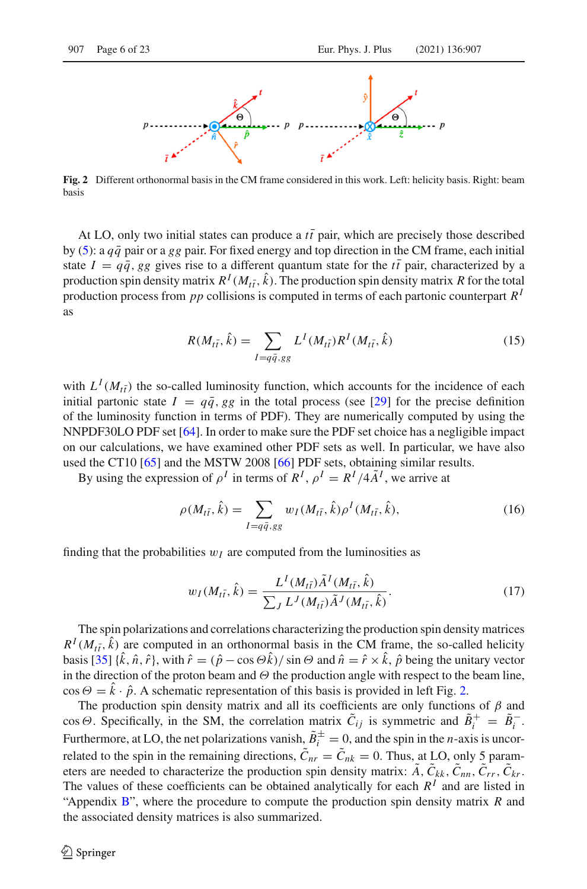

<span id="page-5-0"></span>**Fig. 2** Different orthonormal basis in the CM frame considered in this work. Left: helicity basis. Right: beam basis

At LO, only two initial states can produce a *tt* pair, which are precisely those described by [\(5\)](#page-3-1): a  $q\bar{q}$  pair or a *gg* pair. For fixed energy and top direction in the CM frame, each initial state  $I = q\bar{q}$ , *gg* gives rise to a different quantum state for the *tt* pair, characterized by a production spin density matrix  $R^I(M_{t\bar{t}}, \hat{k})$ . The production spin density matrix *R* for the total production process from *pp* collisions is computed in terms of each partonic counterpart *R<sup>I</sup>* as

<span id="page-5-3"></span>
$$
R(M_{t\bar{t}},\hat{k}) = \sum_{I=q\bar{q},gg} L^{I}(M_{t\bar{t}})R^{I}(M_{t\bar{t}},\hat{k})
$$
\n(15)

with  $L^I(M_{t\bar{t}})$  the so-called luminosity function, which accounts for the incidence of each initial partonic state  $I = q\bar{q}$ , *gg* in the total process (see [\[29\]](#page-21-12) for the precise definition of the luminosity function in terms of PDF). They are numerically computed by using the NNPDF30LO PDF set [\[64\]](#page-22-10). In order to make sure the PDF set choice has a negligible impact on our calculations, we have examined other PDF sets as well. In particular, we have also used the CT10 [\[65](#page-22-11)] and the MSTW 2008 [\[66\]](#page-22-12) PDF sets, obtaining similar results.

By using the expression of  $\rho^I$  in terms of  $R^I$ ,  $\rho^I = R^I/4A^I$ , we arrive at

<span id="page-5-1"></span>
$$
\rho(M_{t\bar{t}},\hat{k}) = \sum_{I=q\bar{q},gg} w_I(M_{t\bar{t}},\hat{k})\rho^I(M_{t\bar{t}},\hat{k}),
$$
\n(16)

finding that the probabilities  $w_I$  are computed from the luminosities as

<span id="page-5-2"></span>
$$
w_I(M_{t\bar{t}},\hat{k}) = \frac{L^I(M_{t\bar{t}})\tilde{A}^I(M_{t\bar{t}},\hat{k})}{\sum_j L^J(M_{t\bar{t}})\tilde{A}^J(M_{t\bar{t}},\hat{k})}.
$$
(17)

The spin polarizations and correlations characterizing the production spin density matrices  $R^I(M_{t\bar{t}}, \hat{k})$  are computed in an orthonormal basis in the CM frame, the so-called helicity basis  $[35]$  { $\hat{k}$ ,  $\hat{n}$ ,  $\hat{r}$ }, with  $\hat{r} = (\hat{p} - \cos \Theta \hat{k}) / \sin \Theta$  and  $\hat{n} = \hat{r} \times \hat{k}$ ,  $\hat{p}$  being the unitary vector in the direction of the proton beam and  $\Theta$  the production angle with respect to the beam line,  $\cos \Theta = k \cdot \hat{p}$ . A schematic representation of this basis is provided in left Fig. [2.](#page-5-0)

The production spin density matrix and all its coefficients are only functions of  $\beta$  and  $\cos \Theta$ . Specifically, in the SM, the correlation matrix  $C_{ij}$  is symmetric and  $B_i^+ = B_i^-$ . Furthermore, at LO, the net polarizations vanish,  $B_i^{\pm} = 0$ , and the spin in the *n*-axis is uncorrelated to the spin in the remaining directions,  $\tilde{C}_{nr} = \tilde{C}_{nk} = 0$ . Thus, at LO, only 5 parameters are needed to characterize the production spin density matrix:  $\tilde{A}$ ,  $\tilde{C}_{kk}$ ,  $\tilde{C}_{nn}$ ,  $\tilde{C}_{rr}$ ,  $\tilde{C}_{kr}$ . The values of these coefficients can be obtained analytically for each  $R<sup>I</sup>$  and are listed in "Appendix [B"](#page-2-0), where the procedure to compute the production spin density matrix *R* and the associated density matrices is also summarized.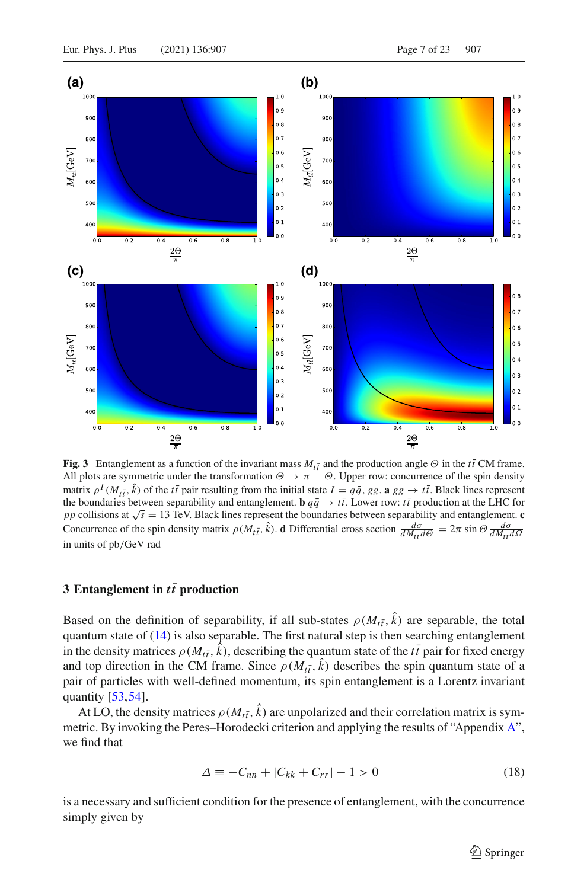

<span id="page-6-1"></span>**Fig. 3** Entanglement as a function of the invariant mass  $M_{t\bar{t}}$  and the production angle Θ in the  $t\bar{t}$  CM frame. All plots are symmetric under the transformation  $\Theta \to \pi - \Theta$ . Upper row: concurrence of the spin density matrix  $\rho^I(M_{t\bar{t}}, \hat{k})$  of the *tt* pair resulting from the initial state  $I = q\bar{q}$ , *gg*. **a** *gg*  $\rightarrow t\bar{t}$ . Black lines represent the boundaries between separability and entanglement. **b**  $q\bar{q} \to t\bar{t}$ . Lower row:  $t\bar{t}$  production at the LHC for *pp* collisions at √*s* = 13 TeV. Black lines represent the boundaries between separability and entanglement. **c** Concurrence of the spin density matrix  $\rho(M_{t\bar{t}}, \hat{k})$ . **d** Differential cross section  $\frac{d\sigma}{dM_{t\bar{t}}d\Theta} = 2\pi \sin \Theta \frac{d\sigma}{dM_{t\bar{t}}d\Omega}$ in units of pb/GeV rad

### <span id="page-6-0"></span>**3** Entanglement in *tt* production

Based on the definition of separability, if all sub-states  $\rho(M_{t\bar{t}}, k)$  are separable, the total quantum state of  $(14)$  is also separable. The first natural step is then searching entanglement in the density matrices  $\rho(M_{t\bar{t}}, k)$ , describing the quantum state of the  $t\bar{t}$  pair for fixed energy and top direction in the CM frame. Since  $\rho(M_{t\bar{t}}, k)$  describes the spin quantum state of a pair of particles with well-defined momentum, its spin entanglement is a Lorentz invariant quantity [\[53](#page-22-2)[,54\]](#page-22-13).

At LO, the density matrices  $\rho(M_{t\bar{t}}, k)$  are unpolarized and their correlation matrix is symmetric. By invoking the Peres–Horodecki criterion and applying the results of "Appendix [A"](#page-0-1), we find that

$$
\Delta \equiv -C_{nn} + |C_{kk} + C_{rr}| - 1 > 0 \tag{18}
$$

is a necessary and sufficient condition for the presence of entanglement, with the concurrence simply given by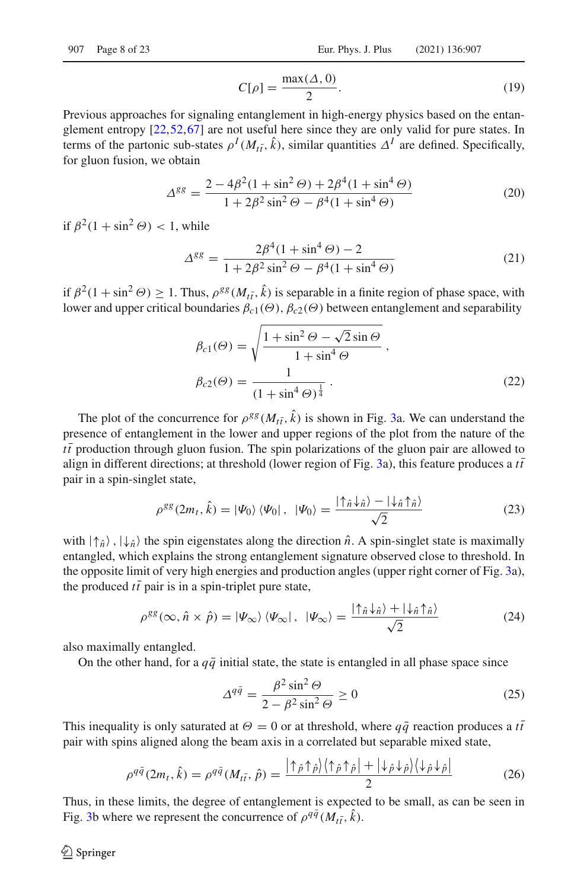$$
C[\rho] = \frac{\max(\Delta, 0)}{2}.
$$
 (19)

Previous approaches for signaling entanglement in high-energy physics based on the entanglement entropy [\[22,](#page-21-15)[52](#page-22-1)[,67\]](#page-22-14) are not useful here since they are only valid for pure states. In terms of the partonic sub-states  $\rho^I(M_{t\bar{t}}, \hat{k})$ , similar quantities  $\Delta^I$  are defined. Specifically, for gluon fusion, we obtain

$$
\Delta^{gg} = \frac{2 - 4\beta^2 (1 + \sin^2 \Theta) + 2\beta^4 (1 + \sin^4 \Theta)}{1 + 2\beta^2 \sin^2 \Theta - \beta^4 (1 + \sin^4 \Theta)}
$$
(20)

if  $\beta^2(1 + \sin^2 \Theta) < 1$ , while

$$
\Delta^{gg} = \frac{2\beta^4 (1 + \sin^4 \Theta) - 2}{1 + 2\beta^2 \sin^2 \Theta - \beta^4 (1 + \sin^4 \Theta)}\tag{21}
$$

if  $\beta^2(1 + \sin^2 \Theta) \ge 1$ . Thus,  $\rho^{gg}(M_{t\bar{t}}, \hat{k})$  is separable in a finite region of phase space, with lower and upper critical boundaries  $\beta_{c1}(\Theta)$ ,  $\beta_{c2}(\Theta)$  between entanglement and separability

$$
\beta_{c1}(\Theta) = \sqrt{\frac{1 + \sin^2 \Theta - \sqrt{2} \sin \Theta}{1 + \sin^4 \Theta}},
$$
\n
$$
\beta_{c2}(\Theta) = \frac{1}{(1 + \sin^4 \Theta)^{\frac{1}{4}}}.
$$
\n(22)

The plot of the concurrence for  $\rho^{gg}(M_{t\bar{t}}, \hat{k})$  is shown in Fig. [3a](#page-6-1). We can understand the presence of entanglement in the lower and upper regions of the plot from the nature of the  $t\bar{t}$  production through gluon fusion. The spin polarizations of the gluon pair are allowed to align in different directions; at threshold (lower region of Fig. [3a](#page-6-1)), this feature produces a  $t\bar{t}$ pair in a spin-singlet state,

$$
\rho^{gg}(2m_t, \hat{k}) = |\Psi_0\rangle \langle \Psi_0| \,, \, |\Psi_0\rangle = \frac{|\uparrow_{\hat{n}} \downarrow_{\hat{n}}\rangle - |\downarrow_{\hat{n}} \uparrow_{\hat{n}}\rangle}{\sqrt{2}} \tag{23}
$$

with  $|\uparrow_{\hat{n}}\rangle$ ,  $|\downarrow_{\hat{n}}\rangle$  the spin eigenstates along the direction  $\hat{n}$ . A spin-singlet state is maximally entangled, which explains the strong entanglement signature observed close to threshold. In the opposite limit of very high energies and production angles (upper right corner of Fig. [3a](#page-6-1)), the produced  $t\bar{t}$  pair is in a spin-triplet pure state,

<span id="page-7-0"></span>
$$
\rho^{gg}(\infty, \hat{n} \times \hat{p}) = |\Psi_{\infty}\rangle \langle \Psi_{\infty}|, \ |\Psi_{\infty}\rangle = \frac{|\uparrow_{\hat{n}}\downarrow_{\hat{n}}\rangle + |\downarrow_{\hat{n}}\uparrow_{\hat{n}}\rangle}{\sqrt{2}} \tag{24}
$$

also maximally entangled.

On the other hand, for a  $q\bar{q}$  initial state, the state is entangled in all phase space since

$$
\Delta^{q\bar{q}} = \frac{\beta^2 \sin^2 \Theta}{2 - \beta^2 \sin^2 \Theta} \ge 0
$$
\n(25)

This inequality is only saturated at  $\Theta = 0$  or at threshold, where  $q\bar{q}$  reaction produces a *tt* pair with spins aligned along the beam axis in a correlated but separable mixed state,

$$
\rho^{q\bar{q}}(2m_t, \hat{k}) = \rho^{q\bar{q}}(M_{t\bar{t}}, \hat{p}) = \frac{|\uparrow_{\hat{p}}\uparrow_{\hat{p}}\rangle\langle\uparrow_{\hat{p}}\uparrow_{\hat{p}}| + |\downarrow_{\hat{p}}\downarrow_{\hat{p}}\rangle\langle\downarrow_{\hat{p}}\downarrow_{\hat{p}}|}{2}
$$
(26)

Thus, in these limits, the degree of entanglement is expected to be small, as can be seen in Fig. [3b](#page-6-1) where we represent the concurrence of  $\rho^{q\bar{q}}(M_{t\bar{t}}, \hat{k})$ .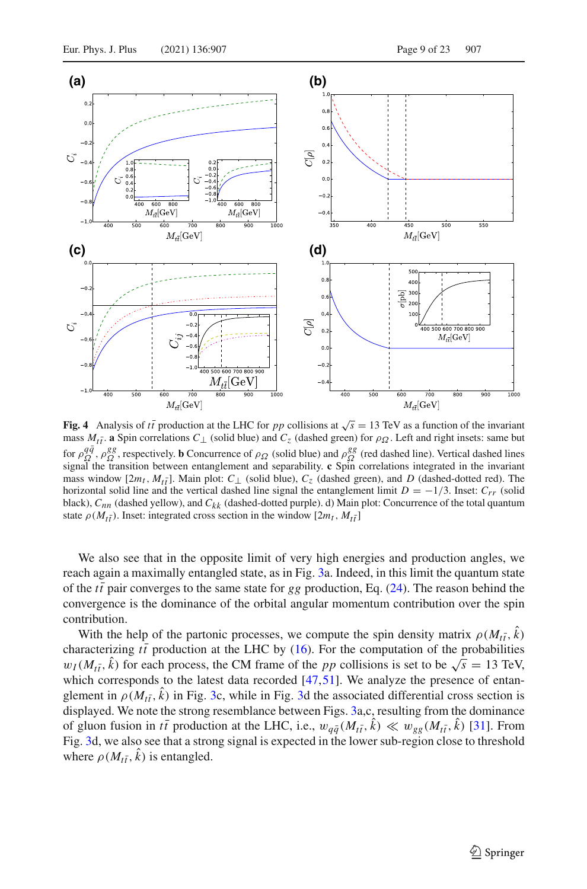

<span id="page-8-0"></span>**Fig. 4** Analysis of *tt* production at the LHC for *pp* collisions at  $\sqrt{s} = 13$  TeV as a function of the invariant mass  $M_{t\bar{t}}$ . **a** Spin correlations  $C_{\perp}$  (solid blue) and  $C_{z}$  (dashed green) for  $\rho_{\Omega}$ . Left and right insets: same but for  $\rho_{\Omega}^{q\bar{q}}$ ,  $\rho_{\Omega}^{gg}$ , respectively. **b** Concurrence of  $\rho_{\Omega}$  (solid blue) and  $\rho_{\Omega}^{gg}$  (red dashed line). Vertical dashed lines signal the transition between entanglement and separability. **c** Spin correlations integrated in the invariant mass window  $[2m_t, M_{t\bar{t}}]$ . Main plot:  $C_{\perp}$  (solid blue),  $C_{z}$  (dashed green), and *D* (dashed-dotted red). The horizontal solid line and the vertical dashed line signal the entanglement limit  $D = -1/3$ . Inset:  $C_{rr}$  (solid black), *Cnn* (dashed yellow), and *Ckk* (dashed-dotted purple). d) Main plot: Concurrence of the total quantum state  $\rho(M_{t\bar{t}})$ . Inset: integrated cross section in the window  $[2m_t, M_{t\bar{t}}]$ 

We also see that in the opposite limit of very high energies and production angles, we reach again a maximally entangled state, as in Fig. [3a](#page-6-1). Indeed, in this limit the quantum state of the  $t\bar{t}$  pair converges to the same state for *gg* production, Eq. [\(24\)](#page-7-0). The reason behind the convergence is the dominance of the orbital angular momentum contribution over the spin contribution.

With the help of the partonic processes, we compute the spin density matrix  $\rho(M_{t\bar{t}}, k)$ characterizing  $t\bar{t}$  production at the LHC by [\(16\)](#page-5-1). For the computation of the probabilities  $w_I(M_{t\bar{t}}, \hat{k})$  for each process, the CM frame of the *pp* collisions is set to be  $\sqrt{s} = 13$  TeV, which corresponds to the latest data recorded  $[47,51]$  $[47,51]$  $[47,51]$ . We analyze the presence of entanglement in  $\rho(M_{t\bar{t}}, k)$  in Fig. [3c](#page-6-1), while in Fig. [3d](#page-6-1) the associated differential cross section is displayed. We note the strong resemblance between Figs. [3a](#page-6-1),c, resulting from the dominance of gluon fusion in  $t\bar{t}$  production at the LHC, i.e.,  $w_{q\bar{q}}(M_{t\bar{t}}, k) \ll w_{gg}(M_{t\bar{t}}, k)$  [\[31](#page-21-5)]. From Fig. [3d](#page-6-1), we also see that a strong signal is expected in the lower sub-region close to threshold where  $\rho(M_{t\bar{t}}, k)$  is entangled.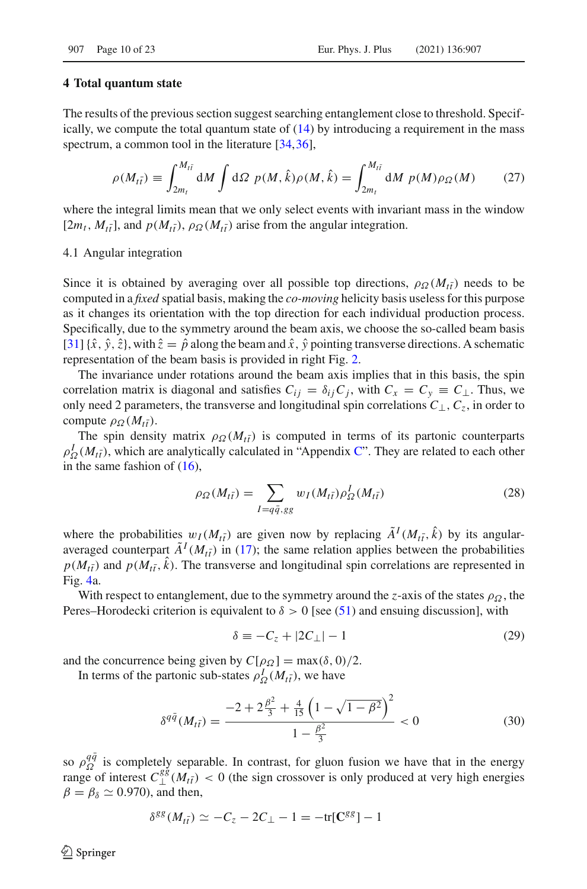#### <span id="page-9-0"></span>**4 Total quantum state**

The results of the previous section suggest searching entanglement close to threshold. Specifically, we compute the total quantum state of  $(14)$  by introducing a requirement in the mass spectrum, a common tool in the literature [\[34,](#page-21-13)[36](#page-21-7)].

<span id="page-9-1"></span>
$$
\rho(M_{t\bar{t}}) \equiv \int_{2m_t}^{M_{t\bar{t}}} dM \int d\Omega \ p(M,\hat{k}) \rho(M,\hat{k}) = \int_{2m_t}^{M_{t\bar{t}}} dM \ p(M) \rho_{\Omega}(M) \qquad (27)
$$

where the integral limits mean that we only select events with invariant mass in the window  $[2m_t, M_{t\bar{t}}]$ , and  $p(M_{t\bar{t}}), \rho_{\Omega}(M_{t\bar{t}})$  arise from the angular integration.

#### 4.1 Angular integration

Since it is obtained by averaging over all possible top directions,  $\rho_{\Omega}(M_{t\bar{t}})$  needs to be computed in a *fixed* spatial basis, making the *co-moving* helicity basis useless for this purpose as it changes its orientation with the top direction for each individual production process. Specifically, due to the symmetry around the beam axis, we choose the so-called beam basis [\[31\]](#page-21-5) $\{\hat{x}, \hat{y}, \hat{z}\}$ , with  $\hat{z} = \hat{p}$  along the beam and  $\hat{x}$ ,  $\hat{y}$  pointing transverse directions. A schematic representation of the beam basis is provided in right Fig. [2.](#page-5-0)

The invariance under rotations around the beam axis implies that in this basis, the spin correlation matrix is diagonal and satisfies  $C_{ij} = \delta_{ij} C_j$ , with  $C_x = C_y \equiv C_{\perp}$ . Thus, we only need 2 parameters, the transverse and longitudinal spin correlations  $C_{\perp}$ ,  $C_{z}$ , in order to compute  $\rho_{\Omega}(M_{t\bar{t}})$ .

The spin density matrix  $\rho_{\Omega}(M_{t\bar{t}})$  is computed in terms of its partonic counterparts  $\rho_{\Omega}^{I}(M_{t\bar{t}})$ , which are analytically calculated in "Appendix [C"](#page-6-0). They are related to each other in the same fashion of  $(16)$ ,

$$
\rho_{\Omega}(M_{t\bar{t}}) = \sum_{I=q\bar{q},gg} w_I(M_{t\bar{t}}) \rho_{\Omega}^I(M_{t\bar{t}})
$$
\n(28)

where the probabilities  $w_I(M_{t\bar{t}})$  are given now by replacing  $\tilde{A}^I(M_{t\bar{t}}, \hat{k})$  by its angularaveraged counterpart  $\tilde{A}^{I}(M_{t\bar{t}})$  in [\(17\)](#page-5-2); the same relation applies between the probabilities  $p(M_{t\bar{t}})$  and  $p(M_{t\bar{t}}, k)$ . The transverse and longitudinal spin correlations are represented in Fig. [4a](#page-8-0).

With respect to entanglement, due to the symmetry around the *z*-axis of the states  $\rho_{\Omega}$ , the Peres–Horodecki criterion is equivalent to  $\delta > 0$  [see [\(51\)](#page-17-0) and ensuing discussion], with

$$
\delta \equiv -C_z + |2C_\perp| - 1 \tag{29}
$$

and the concurrence being given by  $C[\rho_{\Omega}] = \max(\delta, 0)/2$ .

In terms of the partonic sub-states  $\rho_{\Omega}^{I}(M_{t\bar{t}})$ , we have

$$
\delta^{q\bar{q}}(M_{t\bar{t}}) = \frac{-2 + 2\frac{\beta^2}{3} + \frac{4}{15}\left(1 - \sqrt{1 - \beta^2}\right)^2}{1 - \frac{\beta^2}{3}} < 0
$$
\n(30)

so  $\rho_{\Omega}^{q\bar{q}}$  is completely separable. In contrast, for gluon fusion we have that in the energy range of interest  $C_{\perp}^{g\bar{g}}(M_{t\bar{t}})$  < 0 (the sign crossover is only produced at very high energies  $\beta = \beta_{\delta} \simeq 0.970$ , and then,

$$
\delta^{gg}(M_{t\bar{t}}) \simeq -C_z - 2C_{\perp} - 1 = -\text{tr}[\mathbf{C}^{gg}] - 1
$$

 $\circledcirc$  Springer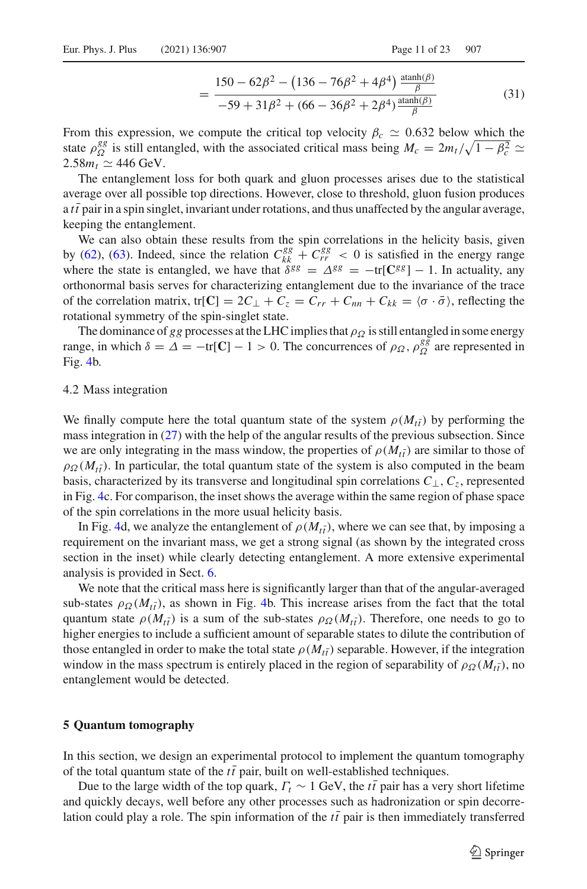$$
= \frac{150 - 62\beta^2 - (136 - 76\beta^2 + 4\beta^4) \frac{\text{atanh}(\beta)}{\beta}}{-59 + 31\beta^2 + (66 - 36\beta^2 + 2\beta^4) \frac{\text{atanh}(\beta)}{\beta}}
$$
(31)

From this expression, we compute the critical top velocity  $\beta_c \simeq 0.632$  below which the state  $\rho_{\Omega}^{gg}$  is still entangled, with the associated critical mass being  $M_c = 2m_t/\sqrt{1 - \beta_c^2} \simeq$  $2.58m_t \simeq 446 \text{ GeV}.$ 

The entanglement loss for both quark and gluon processes arises due to the statistical average over all possible top directions. However, close to threshold, gluon fusion produces a  $t\bar{t}$  pair in a spin singlet, invariant under rotations, and thus unaffected by the angular average, keeping the entanglement.

We can also obtain these results from the spin correlations in the helicity basis, given by [\(62\)](#page-19-0), [\(63\)](#page-19-1). Indeed, since the relation  $C_{kk}^{gg} + C_{rr}^{gg} < 0$  is satisfied in the energy range where the state is entangled, we have that  $\delta^{gg} = \Delta^{gg} = -\text{tr}[\mathbf{C}^{gg}] - 1$ . In actuality, any orthonormal basis serves for characterizing entanglement due to the invariance of the trace of the correlation matrix, tr[**C**] =  $2C_{\perp} + C_{z} = C_{rr} + C_{nn} + C_{kk} = \langle \sigma \cdot \bar{\sigma} \rangle$ , reflecting the rotational symmetry of the spin-singlet state.

The dominance of *gg* processes at the LHC implies that  $\rho_{\Omega}$  is still entangled in some energy range, in which  $\delta = \Delta = -\text{tr}[\mathbf{C}] - 1 > 0$ . The concurrences of  $\rho_{\Omega}$ ,  $\rho_{\Omega}^{gg}$  are represented in Fig. [4b](#page-8-0).

#### 4.2 Mass integration

We finally compute here the total quantum state of the system  $\rho(M_{t\bar{t}})$  by performing the mass integration in [\(27\)](#page-9-1) with the help of the angular results of the previous subsection. Since we are only integrating in the mass window, the properties of  $\rho(M_{t\bar{t}})$  are similar to those of  $\rho_{\Omega}(M_{t\bar{t}})$ . In particular, the total quantum state of the system is also computed in the beam basis, characterized by its transverse and longitudinal spin correlations *C*⊥,*Cz*, represented in Fig. [4c](#page-8-0). For comparison, the inset shows the average within the same region of phase space of the spin correlations in the more usual helicity basis.

In Fig. [4d](#page-8-0), we analyze the entanglement of  $\rho(M_{t\bar{t}})$ , where we can see that, by imposing a requirement on the invariant mass, we get a strong signal (as shown by the integrated cross section in the inset) while clearly detecting entanglement. A more extensive experimental analysis is provided in Sect. [6.](#page-11-0)

We note that the critical mass here is significantly larger than that of the angular-averaged sub-states  $\rho_{\Omega}(M_{t\bar{t}})$ , as shown in Fig. [4b](#page-8-0). This increase arises from the fact that the total quantum state  $\rho(M_{t\bar{t}})$  is a sum of the sub-states  $\rho_{\Omega}(M_{t\bar{t}})$ . Therefore, one needs to go to higher energies to include a sufficient amount of separable states to dilute the contribution of those entangled in order to make the total state  $\rho(M_{t\bar{t}})$  separable. However, if the integration window in the mass spectrum is entirely placed in the region of separability of  $\rho_{\Omega}(M_{t\bar{t}})$ , no entanglement would be detected.

#### <span id="page-10-0"></span>**5 Quantum tomography**

In this section, we design an experimental protocol to implement the quantum tomography of the total quantum state of the  $t\bar{t}$  pair, built on well-established techniques.

Due to the large width of the top quark,  $\Gamma_t \sim 1$  GeV, the  $t\bar{t}$  pair has a very short lifetime and quickly decays, well before any other processes such as hadronization or spin decorrelation could play a role. The spin information of the  $t\bar{t}$  pair is then immediately transferred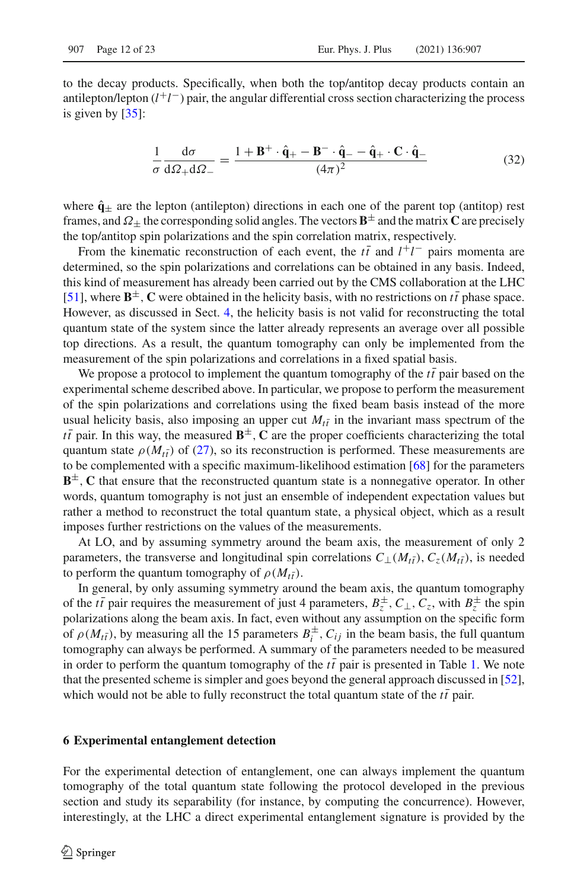to the decay products. Specifically, when both the top/antitop decay products contain an antilepton/lepton (*l* +*l* −) pair, the angular differential cross section characterizing the process is given by [\[35](#page-21-14)]:

<span id="page-11-1"></span>
$$
\frac{1}{\sigma} \frac{d\sigma}{d\Omega_+ d\Omega_-} = \frac{1 + \mathbf{B}^+ \cdot \hat{\mathbf{q}}_+ - \mathbf{B}^- \cdot \hat{\mathbf{q}}_- - \hat{\mathbf{q}}_+ \cdot \mathbf{C} \cdot \hat{\mathbf{q}}_-}{(4\pi)^2}
$$
(32)

where  $\hat{\mathbf{q}}_{\pm}$  are the lepton (antilepton) directions in each one of the parent top (antitop) rest frames, and  $\Omega$ <sup>+</sup> the corresponding solid angles. The vectors  $\mathbf{B}^{\pm}$  and the matrix **C** are precisely the top/antitop spin polarizations and the spin correlation matrix, respectively.

From the kinematic reconstruction of each event, the  $t\bar{t}$  and  $l^{+}l^{-}$  pairs momenta are determined, so the spin polarizations and correlations can be obtained in any basis. Indeed, this kind of measurement has already been carried out by the CMS collaboration at the LHC [\[51\]](#page-22-0), where  $\mathbf{B}^{\pm}$ , **C** were obtained in the helicity basis, with no restrictions on  $t\bar{t}$  phase space. However, as discussed in Sect. [4,](#page-9-0) the helicity basis is not valid for reconstructing the total quantum state of the system since the latter already represents an average over all possible top directions. As a result, the quantum tomography can only be implemented from the measurement of the spin polarizations and correlations in a fixed spatial basis.

We propose a protocol to implement the quantum tomography of the  $t\bar{t}$  pair based on the experimental scheme described above. In particular, we propose to perform the measurement of the spin polarizations and correlations using the fixed beam basis instead of the more usual helicity basis, also imposing an upper cut  $M_{t\bar{t}}$  in the invariant mass spectrum of the  $t\bar{t}$  pair. In this way, the measured  $\mathbf{B}^{\pm}$ , **C** are the proper coefficients characterizing the total quantum state  $\rho(M_{t\bar{t}})$  of [\(27\)](#page-9-1), so its reconstruction is performed. These measurements are to be complemented with a specific maximum-likelihood estimation [\[68](#page-22-15)] for the parameters **<sup>** $\pm$ **</sup>, <b>C** that ensure that the reconstructed quantum state is a nonnegative operator. In other words, quantum tomography is not just an ensemble of independent expectation values but rather a method to reconstruct the total quantum state, a physical object, which as a result imposes further restrictions on the values of the measurements.

At LO, and by assuming symmetry around the beam axis, the measurement of only 2 parameters, the transverse and longitudinal spin correlations  $C_{\perp}(M_{t\bar{t}})$ ,  $C_{z}(M_{t\bar{t}})$ , is needed to perform the quantum tomography of  $\rho(M_{t\bar{t}})$ .

In general, by only assuming symmetry around the beam axis, the quantum tomography of the *tt* pair requires the measurement of just 4 parameters,  $B_z^{\pm}$ ,  $C_{\perp}$ ,  $C_z$ , with  $B_z^{\pm}$  the spin polarizations along the beam axis. In fact, even without any assumption on the specific form of  $\rho(M_{t\bar{t}})$ , by measuring all the 15 parameters  $B_t^{\pm}$ ,  $C_{ij}$  in the beam basis, the full quantum tomography can always be performed. A summary of the parameters needed to be measured in order to perform the quantum tomography of the  $t\bar{t}$  pair is presented in Table [1.](#page-12-0) We note that the presented scheme is simpler and goes beyond the general approach discussed in [\[52\]](#page-22-1), which would not be able to fully reconstruct the total quantum state of the  $t\bar{t}$  pair.

#### <span id="page-11-0"></span>**6 Experimental entanglement detection**

For the experimental detection of entanglement, one can always implement the quantum tomography of the total quantum state following the protocol developed in the previous section and study its separability (for instance, by computing the concurrence). However, interestingly, at the LHC a direct experimental entanglement signature is provided by the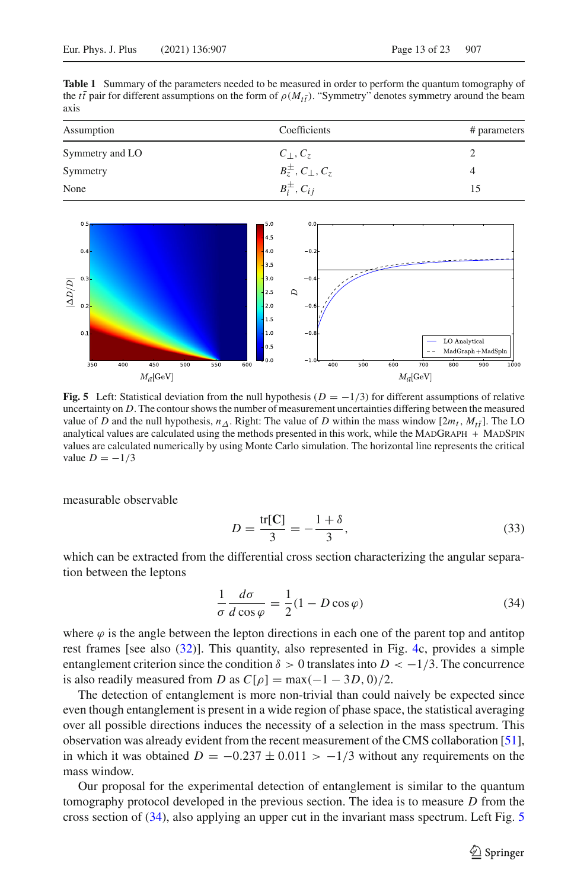<span id="page-12-0"></span>**Table 1** Summary of the parameters needed to be measured in order to perform the quantum tomography of the *tt* pair for different assumptions on the form of  $\rho(M_{t\bar{t}})$ . "Symmetry" denotes symmetry around the beam axis

| Assumption      | Coefficients                      | # parameters |
|-----------------|-----------------------------------|--------------|
| Symmetry and LO | $C_{\perp}, C_{z}$                |              |
| Symmetry        | $B_z^{\pm}$ , $C_{\perp}$ , $C_z$ |              |
| None            | $B_i^{\pm}$ , $C_{ii}$            |              |



<span id="page-12-2"></span>**Fig. 5** Left: Statistical deviation from the null hypothesis ( $D = -1/3$ ) for different assumptions of relative uncertainty on *D*. The contour shows the number of measurement uncertainties differing between the measured value of *D* and the null hypothesis,  $n_{\Delta}$ . Right: The value of *D* within the mass window  $[2m_t, M_{t\bar{t}}]$ . The LO analytical values are calculated using the methods presented in this work, while the MADGRAPH  $+$  MADSPIN values are calculated numerically by using Monte Carlo simulation. The horizontal line represents the critical value  $D = -1/3$ 

measurable observable

<span id="page-12-3"></span>
$$
D = \frac{\text{tr}[\mathbf{C}]}{3} = -\frac{1+\delta}{3},\tag{33}
$$

which can be extracted from the differential cross section characterizing the angular separation between the leptons

<span id="page-12-1"></span>
$$
\frac{1}{\sigma} \frac{d\sigma}{d\cos\varphi} = \frac{1}{2} (1 - D\cos\varphi)
$$
 (34)

where  $\varphi$  is the angle between the lepton directions in each one of the parent top and antitop rest frames [see also [\(32\)](#page-11-1)]. This quantity, also represented in Fig. [4c](#page-8-0), provides a simple entanglement criterion since the condition  $\delta > 0$  translates into  $D < -1/3$ . The concurrence is also readily measured from *D* as  $C[\rho] = \max(-1 - 3D, 0)/2$ .

The detection of entanglement is more non-trivial than could naively be expected since even though entanglement is present in a wide region of phase space, the statistical averaging over all possible directions induces the necessity of a selection in the mass spectrum. This observation was already evident from the recent measurement of the CMS collaboration [\[51\]](#page-22-0), in which it was obtained  $D = -0.237 \pm 0.011 > -1/3$  without any requirements on the mass window.

Our proposal for the experimental detection of entanglement is similar to the quantum tomography protocol developed in the previous section. The idea is to measure *D* from the cross section of [\(34\)](#page-12-1), also applying an upper cut in the invariant mass spectrum. Left Fig. [5](#page-12-2)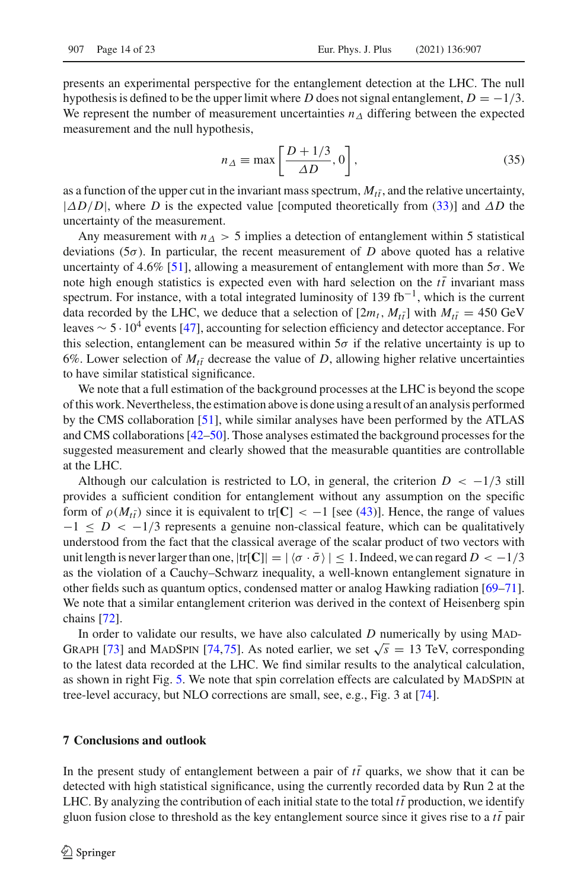presents an experimental perspective for the entanglement detection at the LHC. The null hypothesis is defined to be the upper limit where *D* does not signal entanglement,  $D = -1/3$ . We represent the number of measurement uncertainties  $n<sub>\Delta</sub>$  differing between the expected measurement and the null hypothesis,

$$
n_{\Delta} \equiv \max\left[\frac{D + 1/3}{\Delta D}, 0\right],\tag{35}
$$

as a function of the upper cut in the invariant mass spectrum,  $M_{t\bar{t}}$ , and the relative uncertainty,  $|\Delta D/D|$ , where *D* is the expected value [computed theoretically from [\(33\)](#page-12-3)] and  $\Delta D$  the uncertainty of the measurement.

Any measurement with  $n<sub>\Delta</sub> > 5$  implies a detection of entanglement within 5 statistical deviations (5σ). In particular, the recent measurement of *D* above quoted has a relative uncertainty of 4.6% [\[51\]](#page-22-0), allowing a measurement of entanglement with more than  $5\sigma$ . We note high enough statistics is expected even with hard selection on the  $t\bar{t}$  invariant mass spectrum. For instance, with a total integrated luminosity of 139 fb<sup>-1</sup>, which is the current data recorded by the LHC, we deduce that a selection of  $[2m_t, M_{t\bar{t}}]$  with  $M_{t\bar{t}} = 450 \text{ GeV}$ leaves  $\sim 5 \cdot 10^4$  events [\[47\]](#page-21-16), accounting for selection efficiency and detector acceptance. For this selection, entanglement can be measured within  $5\sigma$  if the relative uncertainty is up to 6%. Lower selection of  $M_{t\bar{t}}$  decrease the value of *D*, allowing higher relative uncertainties to have similar statistical significance.

We note that a full estimation of the background processes at the LHC is beyond the scope of this work. Nevertheless, the estimation above is done using a result of an analysis performed by the CMS collaboration [\[51\]](#page-22-0), while similar analyses have been performed by the ATLAS and CMS collaborations [\[42](#page-21-10)[–50\]](#page-22-16). Those analyses estimated the background processes for the suggested measurement and clearly showed that the measurable quantities are controllable at the LHC.

Although our calculation is restricted to LO, in general, the criterion  $D < -1/3$  still provides a sufficient condition for entanglement without any assumption on the specific form of  $\rho(M_{t\bar{t}})$  since it is equivalent to tr[**C**] < -1 [see [\(43\)](#page-16-0)]. Hence, the range of values  $-1 \leq D < -1/3$  represents a genuine non-classical feature, which can be qualitatively understood from the fact that the classical average of the scalar product of two vectors with unit length is never larger than one,  $|\text{tr}[\mathbf{C}]| = |\langle \sigma \cdot \bar{\sigma} \rangle| \leq 1$ . Indeed, we can regard  $D < -1/3$ as the violation of a Cauchy–Schwarz inequality, a well-known entanglement signature in other fields such as quantum optics, condensed matter or analog Hawking radiation [\[69](#page-22-17)[–71\]](#page-22-18). We note that a similar entanglement criterion was derived in the context of Heisenberg spin chains [\[72](#page-22-19)].

In order to validate our results, we have also calculated  $D$  numerically by using MAD-GRAPH [\[73\]](#page-22-20) and MADSPIN [\[74,](#page-22-21)[75](#page-22-22)]. As noted earlier, we set  $\sqrt{s} = 13$  TeV, corresponding to the latest data recorded at the LHC. We find similar results to the analytical calculation, as shown in right Fig. [5.](#page-12-2) We note that spin correlation effects are calculated by MADSPIN at tree-level accuracy, but NLO corrections are small, see, e.g., Fig. 3 at [\[74\]](#page-22-21).

#### <span id="page-13-0"></span>**7 Conclusions and outlook**

In the present study of entanglement between a pair of  $t\bar{t}$  quarks, we show that it can be detected with high statistical significance, using the currently recorded data by Run 2 at the LHC. By analyzing the contribution of each initial state to the total  $t\bar{t}$  production, we identify gluon fusion close to threshold as the key entanglement source since it gives rise to a  $t\bar{t}$  pair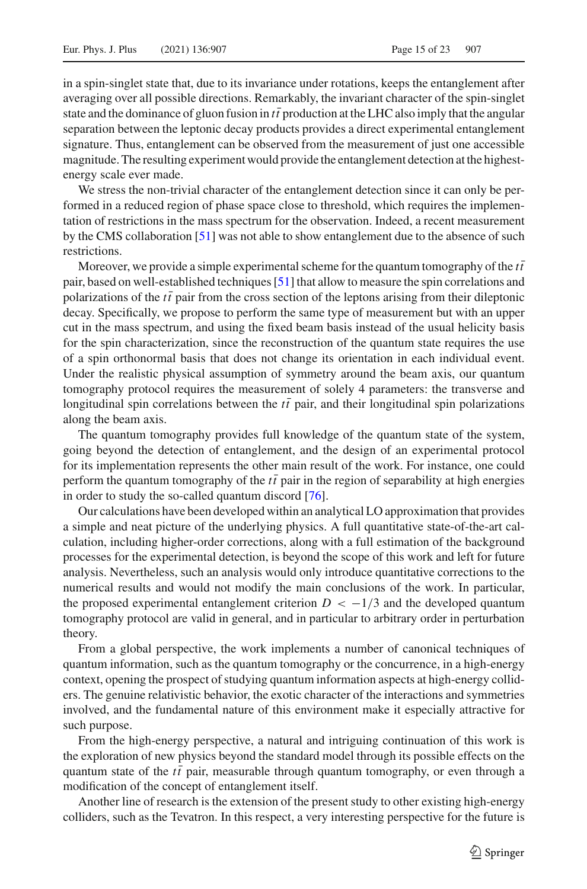in a spin-singlet state that, due to its invariance under rotations, keeps the entanglement after averaging over all possible directions. Remarkably, the invariant character of the spin-singlet state and the dominance of gluon fusion in  $t\bar{t}$  production at the LHC also imply that the angular separation between the leptonic decay products provides a direct experimental entanglement signature. Thus, entanglement can be observed from the measurement of just one accessible magnitude. The resulting experiment would provide the entanglement detection at the highestenergy scale ever made.

We stress the non-trivial character of the entanglement detection since it can only be performed in a reduced region of phase space close to threshold, which requires the implementation of restrictions in the mass spectrum for the observation. Indeed, a recent measurement by the CMS collaboration [\[51](#page-22-0)] was not able to show entanglement due to the absence of such restrictions.

Moreover, we provide a simple experimental scheme for the quantum tomography of the  $t\bar{t}$ pair, based on well-established techniques [\[51\]](#page-22-0) that allow to measure the spin correlations and polarizations of the  $t\bar{t}$  pair from the cross section of the leptons arising from their dileptonic decay. Specifically, we propose to perform the same type of measurement but with an upper cut in the mass spectrum, and using the fixed beam basis instead of the usual helicity basis for the spin characterization, since the reconstruction of the quantum state requires the use of a spin orthonormal basis that does not change its orientation in each individual event. Under the realistic physical assumption of symmetry around the beam axis, our quantum tomography protocol requires the measurement of solely 4 parameters: the transverse and longitudinal spin correlations between the  $t\bar{t}$  pair, and their longitudinal spin polarizations along the beam axis.

The quantum tomography provides full knowledge of the quantum state of the system, going beyond the detection of entanglement, and the design of an experimental protocol for its implementation represents the other main result of the work. For instance, one could perform the quantum tomography of the  $t\bar{t}$  pair in the region of separability at high energies in order to study the so-called quantum discord [\[76\]](#page-22-23).

Our calculations have been developed within an analytical LO approximation that provides a simple and neat picture of the underlying physics. A full quantitative state-of-the-art calculation, including higher-order corrections, along with a full estimation of the background processes for the experimental detection, is beyond the scope of this work and left for future analysis. Nevertheless, such an analysis would only introduce quantitative corrections to the numerical results and would not modify the main conclusions of the work. In particular, the proposed experimental entanglement criterion  $D < -1/3$  and the developed quantum tomography protocol are valid in general, and in particular to arbitrary order in perturbation theory.

From a global perspective, the work implements a number of canonical techniques of quantum information, such as the quantum tomography or the concurrence, in a high-energy context, opening the prospect of studying quantum information aspects at high-energy colliders. The genuine relativistic behavior, the exotic character of the interactions and symmetries involved, and the fundamental nature of this environment make it especially attractive for such purpose.

From the high-energy perspective, a natural and intriguing continuation of this work is the exploration of new physics beyond the standard model through its possible effects on the quantum state of the  $t\bar{t}$  pair, measurable through quantum tomography, or even through a modification of the concept of entanglement itself.

Another line of research is the extension of the present study to other existing high-energy colliders, such as the Tevatron. In this respect, a very interesting perspective for the future is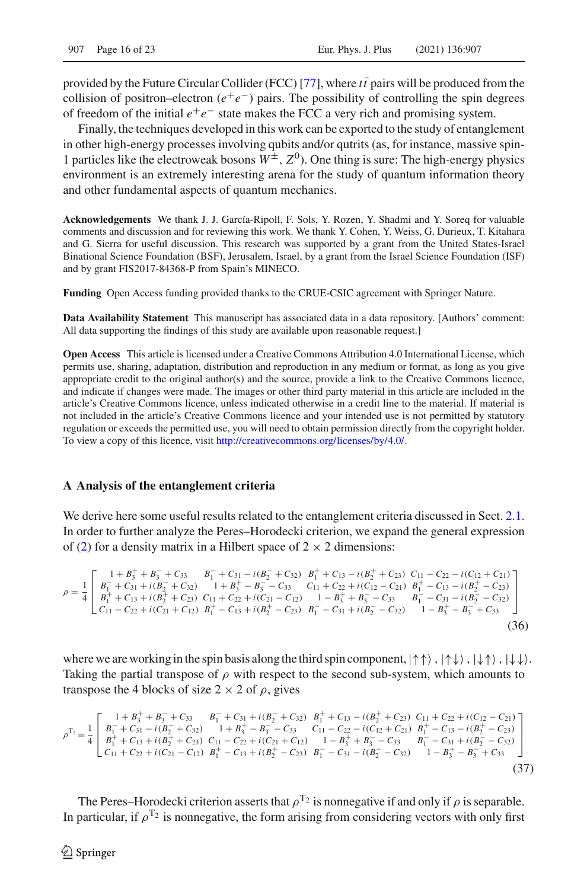provided by the Future Circular Collider (FCC) [\[77\]](#page-22-24), where  $t\bar{t}$  pairs will be produced from the collision of positron–electron  $(e^+e^-)$  pairs. The possibility of controlling the spin degrees of freedom of the initial  $e^+e^-$  state makes the FCC a very rich and promising system.

Finally, the techniques developed in this work can be exported to the study of entanglement in other high-energy processes involving qubits and/or qutrits (as, for instance, massive spin-1 particles like the electroweak bosons  $W^{\pm}$ ,  $Z^0$ ). One thing is sure: The high-energy physics environment is an extremely interesting arena for the study of quantum information theory and other fundamental aspects of quantum mechanics.

**Acknowledgements** We thank J. J. García-Ripoll, F. Sols, Y. Rozen, Y. Shadmi and Y. Soreq for valuable comments and discussion and for reviewing this work. We thank Y. Cohen, Y. Weiss, G. Durieux, T. Kitahara and G. Sierra for useful discussion. This research was supported by a grant from the United States-Israel Binational Science Foundation (BSF), Jerusalem, Israel, by a grant from the Israel Science Foundation (ISF) and by grant FIS2017-84368-P from Spain's MINECO.

**Funding** Open Access funding provided thanks to the CRUE-CSIC agreement with Springer Nature.

**Data Availability Statement** This manuscript has associated data in a data repository. [Authors' comment: All data supporting the findings of this study are available upon reasonable request.]

**Open Access** This article is licensed under a Creative Commons Attribution 4.0 International License, which permits use, sharing, adaptation, distribution and reproduction in any medium or format, as long as you give appropriate credit to the original author(s) and the source, provide a link to the Creative Commons licence, and indicate if changes were made. The images or other third party material in this article are included in the article's Creative Commons licence, unless indicated otherwise in a credit line to the material. If material is not included in the article's Creative Commons licence and your intended use is not permitted by statutory regulation or exceeds the permitted use, you will need to obtain permission directly from the copyright holder. To view a copy of this licence, visit [http://creativecommons.org/licenses/by/4.0/.](http://creativecommons.org/licenses/by/4.0/)

#### **A Analysis of the entanglement criteria**

We derive here some useful results related to the entanglement criteria discussed in Sect. [2.1.](#page-2-2) In order to further analyze the Peres–Horodecki criterion, we expand the general expression of [\(2\)](#page-2-1) for a density matrix in a Hilbert space of  $2 \times 2$  dimensions:

<span id="page-15-0"></span>
$$
\rho = \frac{1}{4} \begin{bmatrix} 1 + B_3^+ + B_3^- + C_{33} & B_1^- + C_{31} - i(B_2^- + C_{32}) & B_1^+ + C_{13} - i(B_2^+ + C_{23}) & C_{11} - C_{22} - i(C_{12} + C_{21}) \\ B_1^- + C_{31} + i(B_2^- + C_{32}) & 1 + B_3^+ - B_3^- - C_{33} & C_{11} + C_{22} + i(C_{12} - C_{21}) & B_1^+ - C_{13} - i(B_2^+ - C_{23}) \\ B_1^+ + C_{13} + i(B_2^+ + C_{23}) & C_{11} + C_{22} + i(C_{21} - C_{12}) & 1 - B_3^+ + B_3^- - C_{33} & B_1^- - C_{31} - i(B_2^- - C_{32}) \\ C_{11} - C_{22} + i(C_{21} + C_{12}) & B_1^+ - C_{13} + i(B_2^+ - C_{23}) & B_1^- - C_{31} + i(B_2^- - C_{32}) & 1 - B_3^+ - B_3^- + C_{33} \end{bmatrix}
$$
\n(36)

where we are working in the spin basis along the third spin component,  $|\uparrow\uparrow\rangle$ ,  $|\uparrow\downarrow\rangle$ ,  $|\downarrow\uparrow\rangle$ ,  $|\downarrow\downarrow\rangle$ . Taking the partial transpose of  $\rho$  with respect to the second sub-system, which amounts to transpose the 4 blocks of size  $2 \times 2$  of  $\rho$ , gives

$$
\rho^{T_2} = \frac{1}{4} \begin{bmatrix} 1 + B_3^+ + B_3^- + C_{33} & B_1^- + C_{31} + i(B_2^- + C_{32}) & B_1^+ + C_{13} - i(B_2^+ + C_{23}) & C_{11} + C_{22} + i(C_{12} - C_{21}) \\ B_1^- + C_{31} - i(B_2^- + C_{32}) & 1 + B_3^+ - B_3^- - C_{33} & C_{11} - C_{22} - i(C_{12} + C_{21}) & B_1^+ - C_{13} - i(B_2^+ - C_{23}) \\ B_1^+ + C_{13} + i(B_2^+ + C_{23}) & C_{11} - C_{22} + i(C_{21} + C_{12}) & 1 - B_3^+ + B_3^- - C_{33} & B_1^- - C_{31} + i(B_2^- - C_{32}) \\ C_{11} + C_{22} + i(C_{21} - C_{12}) & B_1^+ - C_{13} + i(B_2^+ - C_{23}) & B_1^- - C_{31} - i(B_2^- - C_{32}) & 1 - B_3^+ - B_3^- + C_{33} \end{bmatrix}
$$
\n(37)

The Peres–Horodecki criterion asserts that  $\rho^{T_2}$  is nonnegative if and only if  $\rho$  is separable. In particular, if  $\rho^{T_2}$  is nonnegative, the form arising from considering vectors with only first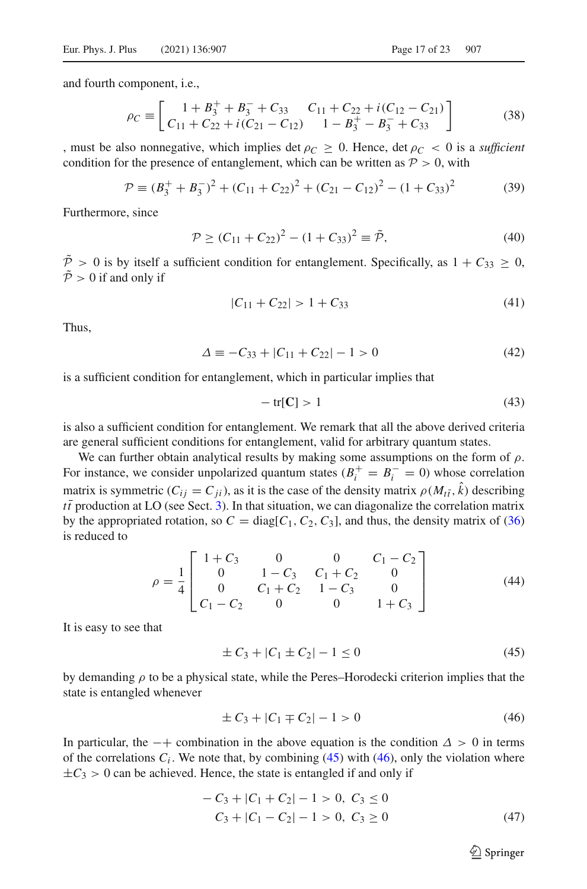and fourth component, i.e.,

$$
\rho_C \equiv \left[ \begin{array}{cc} 1 + B_3^+ + B_3^- + C_{33} & C_{11} + C_{22} + i(C_{12} - C_{21}) \\ C_{11} + C_{22} + i(C_{21} - C_{12}) & 1 - B_3^+ - B_3^- + C_{33} \end{array} \right] \tag{38}
$$

, must be also nonnegative, which implies det  $\rho_C \ge 0$ . Hence, det  $\rho_C < 0$  is a *sufficient* condition for the presence of entanglement, which can be written as  $P > 0$ , with

$$
\mathcal{P} \equiv (B_3^+ + B_3^-)^2 + (C_{11} + C_{22})^2 + (C_{21} - C_{12})^2 - (1 + C_{33})^2 \tag{39}
$$

Furthermore, since

$$
\mathcal{P} \ge (C_{11} + C_{22})^2 - (1 + C_{33})^2 \equiv \tilde{\mathcal{P}},\tag{40}
$$

 $\tilde{P} > 0$  is by itself a sufficient condition for entanglement. Specifically, as  $1 + C_{33} > 0$ ,  $\tilde{P} > 0$  if and only if

$$
|C_{11} + C_{22}| > 1 + C_{33} \tag{41}
$$

Thus,

$$
\Delta \equiv -C_{33} + |C_{11} + C_{22}| - 1 > 0 \tag{42}
$$

is a sufficient condition for entanglement, which in particular implies that

<span id="page-16-0"></span>
$$
-\operatorname{tr}[\mathbf{C}] > 1\tag{43}
$$

is also a sufficient condition for entanglement. We remark that all the above derived criteria are general sufficient conditions for entanglement, valid for arbitrary quantum states.

We can further obtain analytical results by making some assumptions on the form of  $\rho$ . For instance, we consider unpolarized quantum states  $(B_i^+ = B_i^- = 0)$  whose correlation matrix is symmetric  $(C_{ij} = C_{ji})$ , as it is the case of the density matrix  $\rho(M_{t\bar{t}}, k)$  describing  $t\bar{t}$  production at LO (see Sect. [3\)](#page-6-0). In that situation, we can diagonalize the correlation matrix by the appropriated rotation, so  $C = diag[C_1, C_2, C_3]$ , and thus, the density matrix of [\(36\)](#page-15-0) is reduced to

<span id="page-16-3"></span>
$$
\rho = \frac{1}{4} \begin{bmatrix} 1+C_3 & 0 & 0 & C_1 - C_2 \\ 0 & 1-C_3 & C_1 + C_2 & 0 \\ 0 & C_1 + C_2 & 1-C_3 & 0 \\ C_1 - C_2 & 0 & 0 & 1+C_3 \end{bmatrix}
$$
(44)

It is easy to see that

<span id="page-16-1"></span>
$$
\pm C_3 + |C_1 \pm C_2| - 1 \le 0 \tag{45}
$$

by demanding  $\rho$  to be a physical state, while the Peres–Horodecki criterion implies that the state is entangled whenever

<span id="page-16-2"></span>
$$
\pm C_3 + |C_1 \mp C_2| - 1 > 0 \tag{46}
$$

In particular, the  $-+$  combination in the above equation is the condition  $\Delta > 0$  in terms of the correlations  $C_i$ . We note that, by combining  $(45)$  with  $(46)$ , only the violation where  $\pm C_3 > 0$  can be achieved. Hence, the state is entangled if and only if

<span id="page-16-4"></span>
$$
-C_3 + |C_1 + C_2| - 1 > 0, C_3 \le 0
$$
  

$$
C_3 + |C_1 - C_2| - 1 > 0, C_3 \ge 0
$$
 (47)

 $\circled{2}$  Springer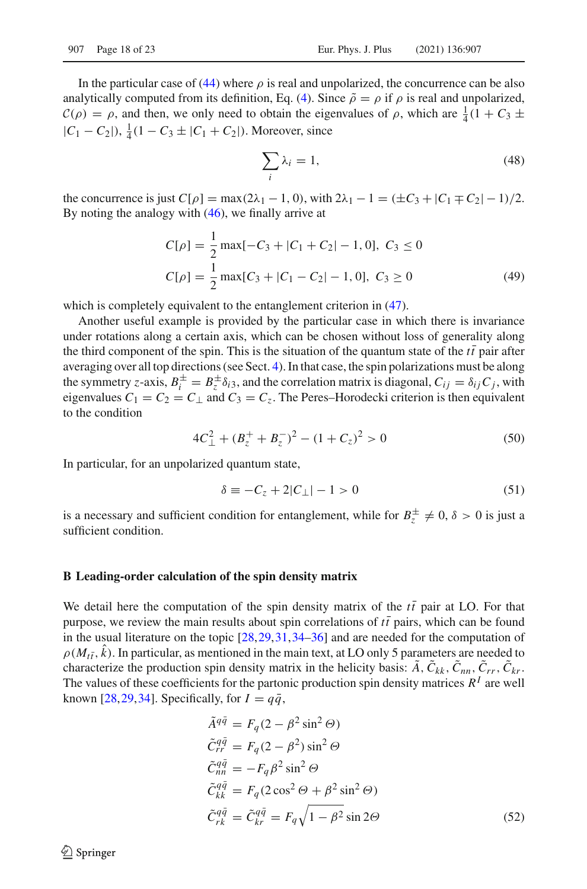In the particular case of [\(44\)](#page-16-3) where  $\rho$  is real and unpolarized, the concurrence can be also analytically computed from its definition, Eq. [\(4\)](#page-2-3). Since  $\tilde{\rho} = \rho$  if  $\rho$  is real and unpolarized,  $C(\rho) = \rho$ , and then, we only need to obtain the eigenvalues of  $\rho$ , which are  $\frac{1}{4}(1 + C_3 \pm C_4)$  $|C_1 - C_2|$ ,  $\frac{1}{4}(1 - C_3 \pm |C_1 + C_2|)$ . Moreover, since

$$
\sum_{i} \lambda_i = 1,\tag{48}
$$

the concurrence is just  $C[\rho] = \max(2\lambda_1 - 1, 0)$ , with  $2\lambda_1 - 1 = (\pm C_3 + |C_1 \mp C_2| - 1)/2$ . By noting the analogy with [\(46\)](#page-16-2), we finally arrive at

$$
C[\rho] = \frac{1}{2} \max[-C_3 + |C_1 + C_2| - 1, 0], \ C_3 \le 0
$$
  

$$
C[\rho] = \frac{1}{2} \max[C_3 + |C_1 - C_2| - 1, 0], \ C_3 \ge 0
$$
 (49)

which is completely equivalent to the entanglement criterion in  $(47)$ .

Another useful example is provided by the particular case in which there is invariance under rotations along a certain axis, which can be chosen without loss of generality along the third component of the spin. This is the situation of the quantum state of the  $t\bar{t}$  pair after averaging over all top directions (see Sect. [4\)](#page-9-0). In that case, the spin polarizations must be along the symmetry *z*-axis,  $B_i^{\pm} = B_z^{\pm} \delta_{i3}$ , and the correlation matrix is diagonal,  $C_{ij} = \delta_{ij} C_j$ , with eigenvalues  $C_1 = C_2 = C_\perp$  and  $C_3 = C_z$ . The Peres–Horodecki criterion is then equivalent to the condition

$$
4C_{\perp}^{2} + (B_{z}^{+} + B_{z}^{-})^{2} - (1 + C_{z})^{2} > 0
$$
\n<sup>(50)</sup>

In particular, for an unpolarized quantum state,

<span id="page-17-0"></span>
$$
\delta \equiv -C_z + 2|C_\perp| - 1 > 0 \tag{51}
$$

is a necessary and sufficient condition for entanglement, while for  $B_z^{\pm} \neq 0$ ,  $\delta > 0$  is just a sufficient condition.

#### **B Leading-order calculation of the spin density matrix**

We detail here the computation of the spin density matrix of the  $t\bar{t}$  pair at LO. For that purpose, we review the main results about spin correlations of  $t\bar{t}$  pairs, which can be found in the usual literature on the topic [\[28](#page-21-11),[29](#page-21-12)[,31,](#page-21-5)[34](#page-21-13)[–36](#page-21-7)] and are needed for the computation of  $\rho(M_{t\bar{t}}, k)$ . In particular, as mentioned in the main text, at LO only 5 parameters are needed to characterize the production spin density matrix in the helicity basis:  $\tilde{A}$ ,  $\tilde{C}_{kk}$ ,  $\tilde{C}_{nn}$ ,  $\tilde{C}_{rr}$ ,  $\tilde{C}_{kr}$ . The values of these coefficients for the partonic production spin density matrices  $R<sup>I</sup>$  are well known [\[28,](#page-21-11)[29](#page-21-12)[,34\]](#page-21-13). Specifically, for  $I = q\bar{q}$ ,

<span id="page-17-1"></span>
$$
\tilde{A}^{q\bar{q}} = F_q (2 - \beta^2 \sin^2 \Theta)
$$
  
\n
$$
\tilde{C}_{rr}^{q\bar{q}} = F_q (2 - \beta^2) \sin^2 \Theta
$$
  
\n
$$
\tilde{C}_{m\bar{q}}^{q\bar{q}} = -F_q \beta^2 \sin^2 \Theta
$$
  
\n
$$
\tilde{C}_{kk}^{q\bar{q}} = F_q (2 \cos^2 \Theta + \beta^2 \sin^2 \Theta)
$$
  
\n
$$
\tilde{C}_{rk}^{q\bar{q}} = \tilde{C}_{kr}^{q\bar{q}} = F_q \sqrt{1 - \beta^2} \sin 2\Theta
$$
\n(52)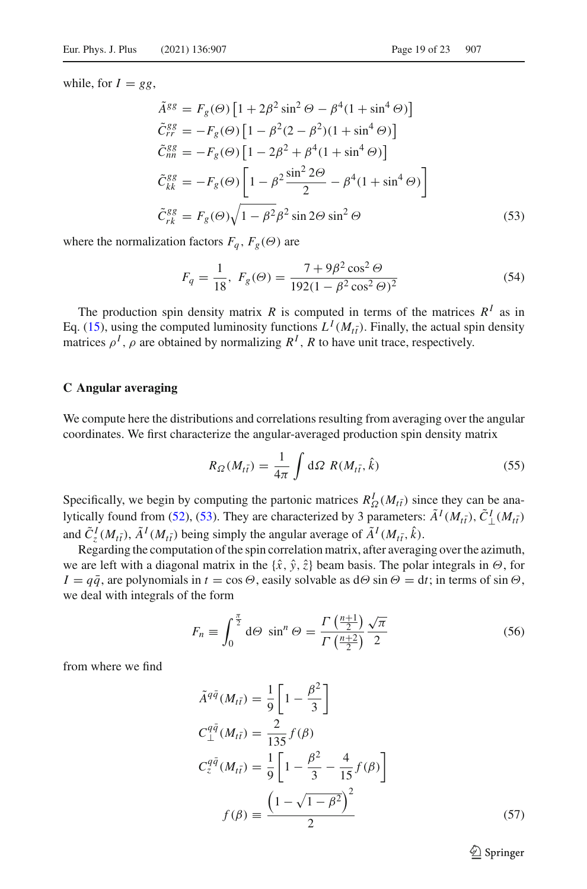while, for  $I = gg$ ,

<span id="page-18-0"></span>
$$
\tilde{A}^{gg} = F_g(\Theta) \left[ 1 + 2\beta^2 \sin^2 \Theta - \beta^4 (1 + \sin^4 \Theta) \right]
$$
  
\n
$$
\tilde{C}_{rr}^{gg} = -F_g(\Theta) \left[ 1 - \beta^2 (2 - \beta^2) (1 + \sin^4 \Theta) \right]
$$
  
\n
$$
\tilde{C}_{nn}^{gg} = -F_g(\Theta) \left[ 1 - 2\beta^2 + \beta^4 (1 + \sin^4 \Theta) \right]
$$
  
\n
$$
\tilde{C}_{kk}^{gg} = -F_g(\Theta) \left[ 1 - \beta^2 \frac{\sin^2 2\Theta}{2} - \beta^4 (1 + \sin^4 \Theta) \right]
$$
  
\n
$$
\tilde{C}_{rk}^{gg} = F_g(\Theta) \sqrt{1 - \beta^2} \beta^2 \sin 2\Theta \sin^2 \Theta
$$
\n(53)

where the normalization factors  $F_q$ ,  $F_g(\Theta)$  are

$$
F_q = \frac{1}{18}, \ F_g(\Theta) = \frac{7 + 9\beta^2 \cos^2 \Theta}{192(1 - \beta^2 \cos^2 \Theta)^2}
$$
(54)

The production spin density matrix *R* is computed in terms of the matrices  $R^I$  as in Eq. [\(15\)](#page-5-3), using the computed luminosity functions  $L^I(M_{t\bar{t}})$ . Finally, the actual spin density matrices  $\rho^I$ ,  $\rho$  are obtained by normalizing  $R^I$ , R to have unit trace, respectively.

#### **C Angular averaging**

We compute here the distributions and correlations resulting from averaging over the angular coordinates. We first characterize the angular-averaged production spin density matrix

$$
R_{\Omega}(M_{t\bar{t}}) = \frac{1}{4\pi} \int d\Omega \ R(M_{t\bar{t}}, \hat{k}) \tag{55}
$$

Specifically, we begin by computing the partonic matrices  $R^I_{\Omega}(M_{t\bar{t}})$  since they can be ana-lytically found from [\(52\)](#page-17-1), [\(53\)](#page-18-0). They are characterized by 3 parameters:  $\tilde{A}^I(M_{t\bar{t}})$ ,  $\tilde{C}^I_{\perp}(M_{t\bar{t}})$ and  $\tilde{C}_z^I(M_{t\bar{t}}), \tilde{A}^I(M_{t\bar{t}})$  being simply the angular average of  $\tilde{A}^I(M_{t\bar{t}}, \hat{k})$ .

Regarding the computation of the spin correlation matrix, after averaging over the azimuth, we are left with a diagonal matrix in the  $\{\hat{x}, \hat{y}, \hat{z}\}$  beam basis. The polar integrals in  $\Theta$ , for  $I = q\bar{q}$ , are polynomials in  $t = \cos \Theta$ , easily solvable as  $d\Theta \sin \Theta = dt$ ; in terms of sin  $\Theta$ , we deal with integrals of the form

$$
F_n \equiv \int_0^{\frac{\pi}{2}} d\Theta \sin^n \Theta = \frac{\Gamma\left(\frac{n+1}{2}\right)}{\Gamma\left(\frac{n+2}{2}\right)} \frac{\sqrt{\pi}}{2}
$$
(56)

from where we find

$$
\tilde{A}^{q\bar{q}}(M_{t\bar{t}}) = \frac{1}{9} \left[ 1 - \frac{\beta^2}{3} \right]
$$
  
\n
$$
C_{\perp}^{q\bar{q}}(M_{t\bar{t}}) = \frac{2}{135} f(\beta)
$$
  
\n
$$
C_{z}^{q\bar{q}}(M_{t\bar{t}}) = \frac{1}{9} \left[ 1 - \frac{\beta^2}{3} - \frac{4}{15} f(\beta) \right]
$$
  
\n
$$
f(\beta) = \frac{\left( 1 - \sqrt{1 - \beta^2} \right)^2}{2}
$$
\n(57)

 $\hat{\mathfrak{D}}$  Springer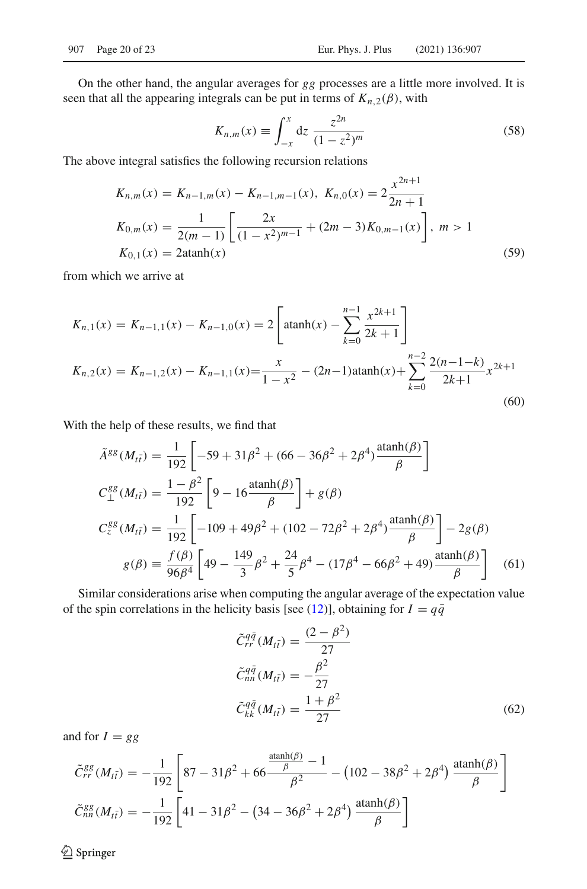On the other hand, the angular averages for *gg* processes are a little more involved. It is seen that all the appearing integrals can be put in terms of  $K_{n,2}(\beta)$ , with

$$
K_{n,m}(x) \equiv \int_{-x}^{x} dz \; \frac{z^{2n}}{(1-z^2)^m}
$$
 (58)

The above integral satisfies the following recursion relations

$$
K_{n,m}(x) = K_{n-1,m}(x) - K_{n-1,m-1}(x), K_{n,0}(x) = 2\frac{x^{2n+1}}{2n+1}
$$
  
\n
$$
K_{0,m}(x) = \frac{1}{2(m-1)} \left[ \frac{2x}{(1-x^2)^{m-1}} + (2m-3)K_{0,m-1}(x) \right], m > 1
$$
  
\n
$$
K_{0,1}(x) = 2 \operatorname{atanh}(x)
$$
\n(59)

from which we arrive at

$$
K_{n,1}(x) = K_{n-1,1}(x) - K_{n-1,0}(x) = 2 \left[ \operatorname{atanh}(x) - \sum_{k=0}^{n-1} \frac{x^{2k+1}}{2k+1} \right]
$$
  

$$
K_{n,2}(x) = K_{n-1,2}(x) - K_{n-1,1}(x) = \frac{x}{1-x^2} - (2n-1)\operatorname{atanh}(x) + \sum_{k=0}^{n-2} \frac{2(n-1-k)}{2k+1} x^{2k+1}
$$
(60)

With the help of these results, we find that

$$
\tilde{A}^{gg}(M_{t\bar{t}}) = \frac{1}{192} \left[ -59 + 31\beta^2 + (66 - 36\beta^2 + 2\beta^4) \frac{\text{atanh}(\beta)}{\beta} \right]
$$
  
\n
$$
C_{\perp}^{gg}(M_{t\bar{t}}) = \frac{1 - \beta^2}{192} \left[ 9 - 16 \frac{\text{atanh}(\beta)}{\beta} \right] + g(\beta)
$$
  
\n
$$
C_{z}^{gg}(M_{t\bar{t}}) = \frac{1}{192} \left[ -109 + 49\beta^2 + (102 - 72\beta^2 + 2\beta^4) \frac{\text{atanh}(\beta)}{\beta} \right] - 2g(\beta)
$$
  
\n
$$
g(\beta) \equiv \frac{f(\beta)}{96\beta^4} \left[ 49 - \frac{149}{3}\beta^2 + \frac{24}{5}\beta^4 - (17\beta^4 - 66\beta^2 + 49) \frac{\text{atanh}(\beta)}{\beta} \right] \tag{61}
$$

Similar considerations arise when computing the angular average of the expectation value of the spin correlations in the helicity basis [see [\(12\)](#page-4-0)], obtaining for  $I = q\bar{q}$ 

<span id="page-19-0"></span>
$$
\tilde{C}_{rr}^{q\bar{q}}(M_{t\bar{t}}) = \frac{(2-\beta^2)}{27}
$$
\n
$$
\tilde{C}_{nn}^{q\bar{q}}(M_{t\bar{t}}) = -\frac{\beta^2}{27}
$$
\n
$$
\tilde{C}_{kk}^{q\bar{q}}(M_{t\bar{t}}) = \frac{1+\beta^2}{27}
$$
\n(62)

and for  $I = gg$ 

<span id="page-19-1"></span>
$$
\tilde{C}_{rr}^{gg}(M_{t\bar{t}}) = -\frac{1}{192} \left[ 87 - 31\beta^2 + 66 \frac{\frac{\text{atanh}(\beta)}{\beta} - 1}{\beta^2} - (102 - 38\beta^2 + 2\beta^4) \frac{\text{atanh}(\beta)}{\beta} \right]
$$

$$
\tilde{C}_{nn}^{gg}(M_{t\bar{t}}) = -\frac{1}{192} \left[ 41 - 31\beta^2 - (34 - 36\beta^2 + 2\beta^4) \frac{\text{atanh}(\beta)}{\beta} \right]
$$

 $\hat{Z}$  Springer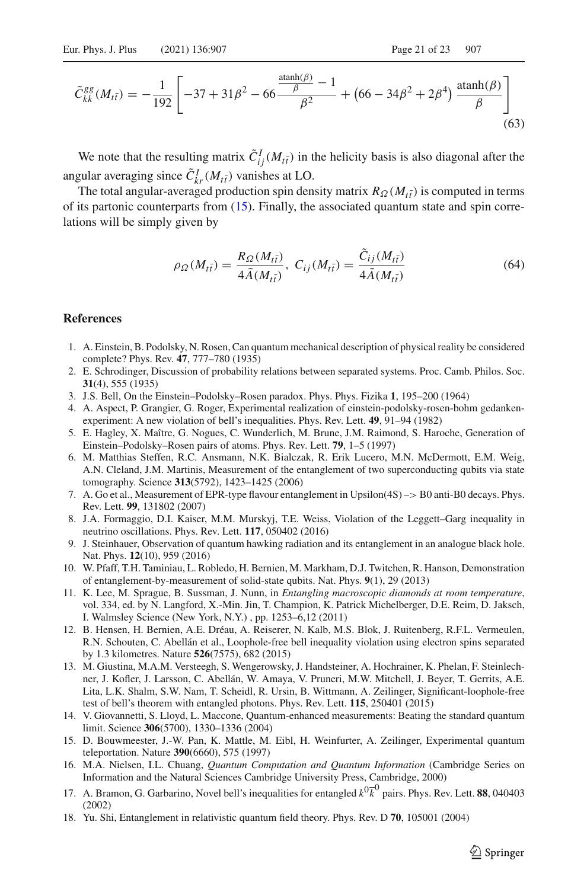$$
\tilde{C}_{kk}^{gg}(M_{t\bar{t}}) = -\frac{1}{192} \left[ -37 + 31\beta^2 - 66 \frac{\frac{\text{atanh}(\beta)}{\beta} - 1}{\beta^2} + \left( 66 - 34\beta^2 + 2\beta^4 \right) \frac{\text{atanh}(\beta)}{\beta} \right] \tag{63}
$$

We note that the resulting matrix  $\tilde{C}_{ij}^I(M_{t\bar{t}})$  in the helicity basis is also diagonal after the angular averaging since  $\tilde{C}_{kr}^I(M_{t\bar{t}})$  vanishes at LO.

The total angular-averaged production spin density matrix  $R_{\Omega}(M_{t\bar{t}})$  is computed in terms of its partonic counterparts from [\(15\)](#page-5-3). Finally, the associated quantum state and spin correlations will be simply given by

$$
\rho_{\Omega}(M_{t\bar{t}}) = \frac{R_{\Omega}(M_{t\bar{t}})}{4\tilde{A}(M_{t\bar{t}})}, \ C_{ij}(M_{t\bar{t}}) = \frac{\tilde{C}_{ij}(M_{t\bar{t}})}{4\tilde{A}(M_{t\bar{t}})}
$$
(64)

#### **References**

- <span id="page-20-0"></span>1. A. Einstein, B. Podolsky, N. Rosen, Can quantum mechanical description of physical reality be considered complete? Phys. Rev. **47**, 777–780 (1935)
- 2. E. Schrodinger, Discussion of probability relations between separated systems. Proc. Camb. Philos. Soc. **31**(4), 555 (1935)
- <span id="page-20-1"></span>3. J.S. Bell, On the Einstein–Podolsky–Rosen paradox. Phys. Phys. Fizika **1**, 195–200 (1964)
- <span id="page-20-2"></span>4. A. Aspect, P. Grangier, G. Roger, Experimental realization of einstein-podolsky-rosen-bohm gedankenexperiment: A new violation of bell's inequalities. Phys. Rev. Lett. **49**, 91–94 (1982)
- <span id="page-20-3"></span>5. E. Hagley, X. Maître, G. Nogues, C. Wunderlich, M. Brune, J.M. Raimond, S. Haroche, Generation of Einstein–Podolsky–Rosen pairs of atoms. Phys. Rev. Lett. **79**, 1–5 (1997)
- <span id="page-20-4"></span>6. M. Matthias Steffen, R.C. Ansmann, N.K. Bialczak, R. Erik Lucero, M.N. McDermott, E.M. Weig, A.N. Cleland, J.M. Martinis, Measurement of the entanglement of two superconducting qubits via state tomography. Science **313**(5792), 1423–1425 (2006)
- <span id="page-20-5"></span>7. A. Go et al., Measurement of EPR-type flavour entanglement in Upsilon(4S) –> B0 anti-B0 decays. Phys. Rev. Lett. **99**, 131802 (2007)
- <span id="page-20-6"></span>8. J.A. Formaggio, D.I. Kaiser, M.M. Murskyj, T.E. Weiss, Violation of the Leggett–Garg inequality in neutrino oscillations. Phys. Rev. Lett. **117**, 050402 (2016)
- <span id="page-20-7"></span>9. J. Steinhauer, Observation of quantum hawking radiation and its entanglement in an analogue black hole. Nat. Phys. **12**(10), 959 (2016)
- <span id="page-20-8"></span>10. W. Pfaff, T.H. Taminiau, L. Robledo, H. Bernien, M. Markham, D.J. Twitchen, R. Hanson, Demonstration of entanglement-by-measurement of solid-state qubits. Nat. Phys. **9**(1), 29 (2013)
- <span id="page-20-9"></span>11. K. Lee, M. Sprague, B. Sussman, J. Nunn, in *Entangling macroscopic diamonds at room temperature*, vol. 334, ed. by N. Langford, X.-Min. Jin, T. Champion, K. Patrick Michelberger, D.E. Reim, D. Jaksch, I. Walmsley Science (New York, N.Y.) , pp. 1253–6,12 (2011)
- <span id="page-20-10"></span>12. B. Hensen, H. Bernien, A.E. Dréau, A. Reiserer, N. Kalb, M.S. Blok, J. Ruitenberg, R.F.L. Vermeulen, R.N. Schouten, C. Abellán et al., Loophole-free bell inequality violation using electron spins separated by 1.3 kilometres. Nature **526**(7575), 682 (2015)
- <span id="page-20-11"></span>13. M. Giustina, M.A.M. Versteegh, S. Wengerowsky, J. Handsteiner, A. Hochrainer, K. Phelan, F. Steinlechner, J. Kofler, J. Larsson, C. Abellán, W. Amaya, V. Pruneri, M.W. Mitchell, J. Beyer, T. Gerrits, A.E. Lita, L.K. Shalm, S.W. Nam, T. Scheidl, R. Ursin, B. Wittmann, A. Zeilinger, Significant-loophole-free test of bell's theorem with entangled photons. Phys. Rev. Lett. **115**, 250401 (2015)
- <span id="page-20-12"></span>14. V. Giovannetti, S. Lloyd, L. Maccone, Quantum-enhanced measurements: Beating the standard quantum limit. Science **306**(5700), 1330–1336 (2004)
- 15. D. Bouwmeester, J.-W. Pan, K. Mattle, M. Eibl, H. Weinfurter, A. Zeilinger, Experimental quantum teleportation. Nature **390**(6660), 575 (1997)
- <span id="page-20-13"></span>16. M.A. Nielsen, I.L. Chuang, *Quantum Computation and Quantum Information* (Cambridge Series on Information and the Natural Sciences Cambridge University Press, Cambridge, 2000)
- <span id="page-20-14"></span>17. A. Bramon, G. Garbarino, Novel bell's inequalities for entangled  $k^0\overline{k}^0$  pairs. Phys. Rev. Lett. **88**, 040403 (2002)
- 18. Yu. Shi, Entanglement in relativistic quantum field theory. Phys. Rev. D **70**, 105001 (2004)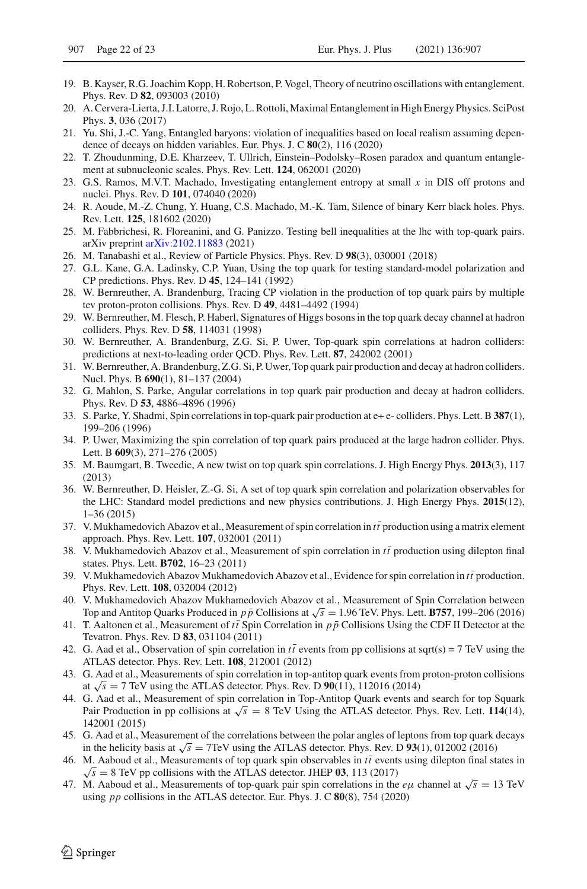- 19. B. Kayser, R.G. Joachim Kopp, H. Robertson, P. Vogel, Theory of neutrino oscillations with entanglement. Phys. Rev. D **82**, 093003 (2010)
- <span id="page-21-0"></span>20. A. Cervera-Lierta, J.I. Latorre, J. Rojo, L. Rottoli, Maximal Entanglement in High Energy Physics. SciPost Phys. **3**, 036 (2017)
- <span id="page-21-1"></span>21. Yu. Shi, J.-C. Yang, Entangled baryons: violation of inequalities based on local realism assuming dependence of decays on hidden variables. Eur. Phys. J. C **80**(2), 116 (2020)
- <span id="page-21-15"></span>22. T. Zhoudunming, D.E. Kharzeev, T. Ullrich, Einstein–Podolsky–Rosen paradox and quantum entanglement at subnucleonic scales. Phys. Rev. Lett. **124**, 062001 (2020)
- 23. G.S. Ramos, M.V.T. Machado, Investigating entanglement entropy at small *x* in DIS off protons and nuclei. Phys. Rev. D **101**, 074040 (2020)
- 24. R. Aoude, M.-Z. Chung, Y. Huang, C.S. Machado, M.-K. Tam, Silence of binary Kerr black holes. Phys. Rev. Lett. **125**, 181602 (2020)
- <span id="page-21-2"></span>25. M. Fabbrichesi, R. Floreanini, and G. Panizzo. Testing bell inequalities at the lhc with top-quark pairs. arXiv preprint [arXiv:2102.11883](http://arxiv.org/abs/2102.11883) (2021)
- <span id="page-21-3"></span>26. M. Tanabashi et al., Review of Particle Physics. Phys. Rev. D **98**(3), 030001 (2018)
- <span id="page-21-4"></span>27. G.L. Kane, G.A. Ladinsky, C.P. Yuan, Using the top quark for testing standard-model polarization and CP predictions. Phys. Rev. D **45**, 124–141 (1992)
- <span id="page-21-11"></span>28. W. Bernreuther, A. Brandenburg, Tracing CP violation in the production of top quark pairs by multiple tev proton-proton collisions. Phys. Rev. D **49**, 4481–4492 (1994)
- <span id="page-21-12"></span>29. W. Bernreuther, M. Flesch, P. Haberl, Signatures of Higgs bosons in the top quark decay channel at hadron colliders. Phys. Rev. D **58**, 114031 (1998)
- 30. W. Bernreuther, A. Brandenburg, Z.G. Si, P. Uwer, Top-quark spin correlations at hadron colliders: predictions at next-to-leading order QCD. Phys. Rev. Lett. **87**, 242002 (2001)
- <span id="page-21-5"></span>31. W. Bernreuther, A. Brandenburg, Z.G. Si, P. Uwer, Top quark pair production and decay at hadron colliders. Nucl. Phys. B **690**(1), 81–137 (2004)
- <span id="page-21-6"></span>32. G. Mahlon, S. Parke, Angular correlations in top quark pair production and decay at hadron colliders. Phys. Rev. D **53**, 4886–4896 (1996)
- 33. S. Parke, Y. Shadmi, Spin correlations in top-quark pair production at e+ e- colliders. Phys. Lett. B **387**(1), 199–206 (1996)
- <span id="page-21-13"></span>34. P. Uwer, Maximizing the spin correlation of top quark pairs produced at the large hadron collider. Phys. Lett. B **609**(3), 271–276 (2005)
- <span id="page-21-14"></span>35. M. Baumgart, B. Tweedie, A new twist on top quark spin correlations. J. High Energy Phys. **2013**(3), 117 (2013)
- <span id="page-21-7"></span>36. W. Bernreuther, D. Heisler, Z.-G. Si, A set of top quark spin correlation and polarization observables for the LHC: Standard model predictions and new physics contributions. J. High Energy Phys. **2015**(12), 1–36 (2015)
- <span id="page-21-8"></span>37. V. Mukhamedovich Abazov et al., Measurement of spin correlation in  $t\bar{t}$  production using a matrix element approach. Phys. Rev. Lett. **107**, 032001 (2011)
- 38. V. Mukhamedovich Abazov et al., Measurement of spin correlation in  $t\bar{t}$  production using dilepton final states. Phys. Lett. **B702**, 16–23 (2011)
- 39. V. Mukhamedovich Abazov Mukhamedovich Abazov et al., Evidence for spin correlation in *tt* ¯production. Phys. Rev. Lett. **108**, 032004 (2012)
- 40. V. Mukhamedovich Abazov Mukhamedovich Abazov et al., Measurement of Spin Correlation between Top and Antitop Quarks Produced in *p*  $\bar{p}$  Collisions at  $\sqrt{s}$  = 1.96 TeV. Phys. Lett. **B757**, 199–206 (2016)
- <span id="page-21-9"></span>41. T. Aaltonen et al., Measurement of  $t\bar{t}$  Spin Correlation in  $p\bar{p}$  Collisions Using the CDF II Detector at the Tevatron. Phys. Rev. D **83**, 031104 (2011)
- <span id="page-21-10"></span>42. G. Aad et al., Observation of spin correlation in  $t\bar{t}$  events from pp collisions at sqrt(s) = 7 TeV using the ATLAS detector. Phys. Rev. Lett. **108**, 212001 (2012)
- 43. G. Aad et al., Measurements of spin correlation in top-antitop quark events from proton-proton collisions at  $\sqrt{s}$  = 7 TeV using the ATLAS detector. Phys. Rev. D  $90(11)$ , 112016 (2014)
- 44. G. Aad et al., Measurement of spin correlation in Top-Antitop Quark events and search for top Squark Pair Production in pp collisions at  $\sqrt{s}$  = 8 TeV Using the ATLAS detector. Phys. Rev. Lett. **114**(14), 142001 (2015)
- 45. G. Aad et al., Measurement of the correlations between the polar angles of leptons from top quark decays in the helicity basis at  $\sqrt{s}$  = 7TeV using the ATLAS detector. Phys. Rev. D **93**(1), 012002 (2016)
- 46. M. Aaboud et al., Measurements of top quark spin observables in  $t\bar{t}$  events using dilepton final states in  $\sqrt{s}$  = 8 TeV pp collisions with the ATLAS detector. JHEP 03, 113 (2017)
- <span id="page-21-16"></span>47. M. Aaboud et al., Measurements of top-quark pair spin correlations in the  $e\mu$  channel at  $\sqrt{s} = 13$  TeV using *pp* collisions in the ATLAS detector. Eur. Phys. J. C **80**(8), 754 (2020)